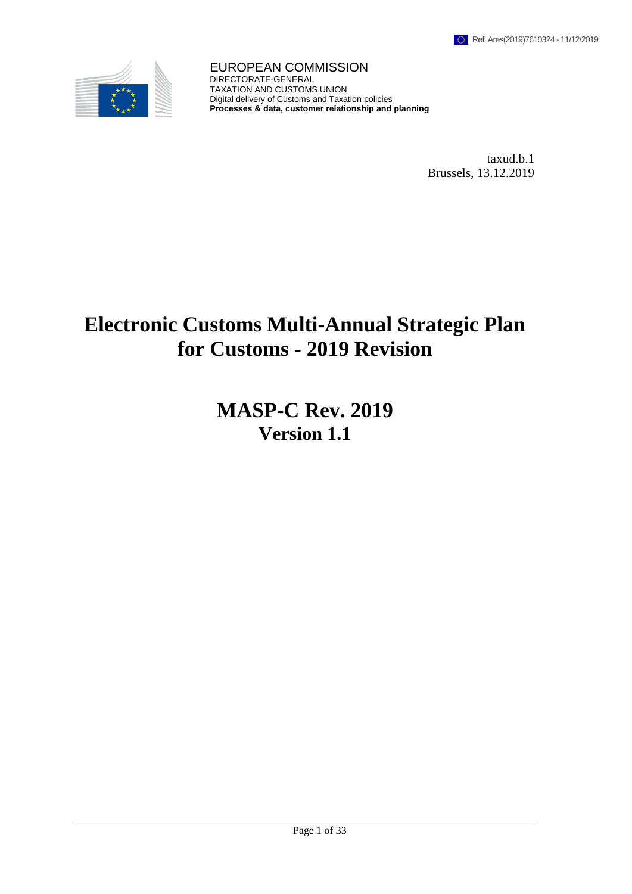

EUROPEAN COMMISSION DIRECTORATE-GENERAL TAXATION AND CUSTOMS UNION Digital delivery of Customs and Taxation policies **Processes & data, customer relationship and planning**

> taxud.b.1 Brussels, 13.12.2019

# **Electronic Customs Multi-Annual Strategic Plan for Customs - 2019 Revision**

**MASP-C Rev. 2019 Version 1.1**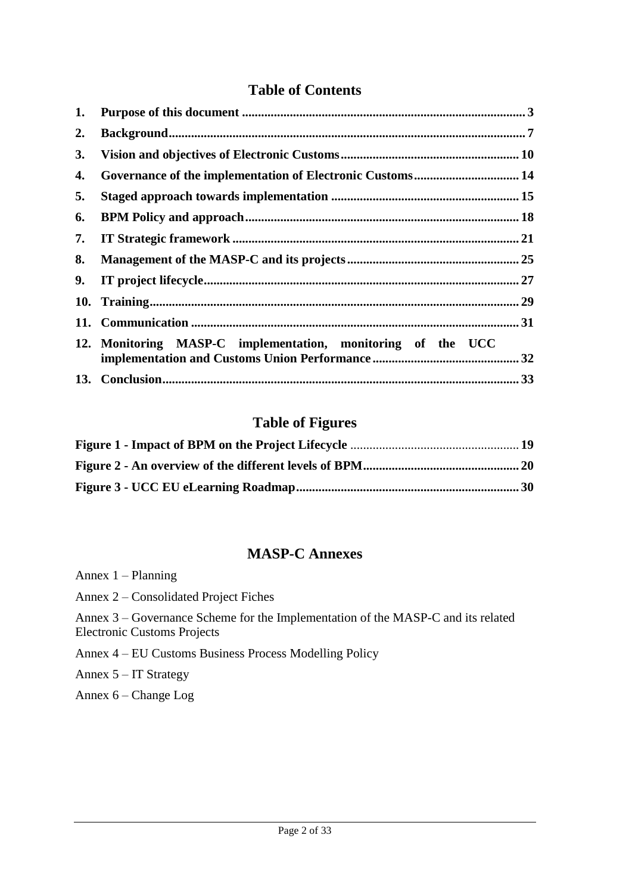# **Table of Contents**

| 1. |                                                             |  |
|----|-------------------------------------------------------------|--|
| 2. |                                                             |  |
| 3. |                                                             |  |
| 4. | Governance of the implementation of Electronic Customs 14   |  |
| 5. |                                                             |  |
| 6. |                                                             |  |
| 7. |                                                             |  |
| 8. |                                                             |  |
| 9. |                                                             |  |
|    |                                                             |  |
|    |                                                             |  |
|    | 12. Monitoring MASP-C implementation, monitoring of the UCC |  |
|    |                                                             |  |

# **Table of Figures**

# **MASP-C Annexes**

| Annex $1 -$ Planning                                                                                                   |
|------------------------------------------------------------------------------------------------------------------------|
| Annex 2 – Consolidated Project Fiches                                                                                  |
| Annex 3 – Governance Scheme for the Implementation of the MASP-C and its related<br><b>Electronic Customs Projects</b> |
| Annex 4 – EU Customs Business Process Modelling Policy                                                                 |
| Annex $5 - IT$ Strategy                                                                                                |
| Annex $6 - Change Log$                                                                                                 |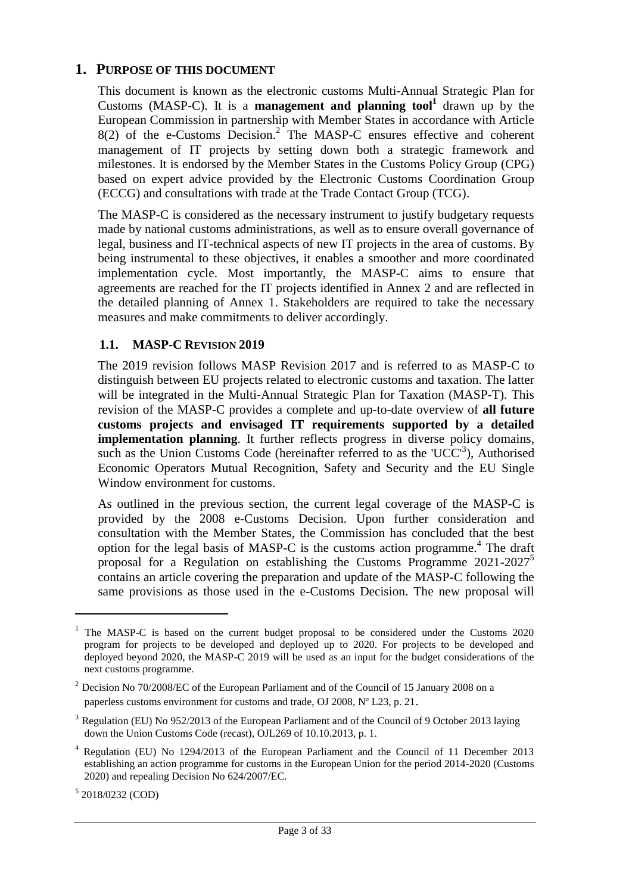#### <span id="page-2-0"></span>**1. PURPOSE OF THIS DOCUMENT**

This document is known as the electronic customs Multi-Annual Strategic Plan for Customs (MASP-C). It is a **management and planning tool**<sup>1</sup> drawn up by the European Commission in partnership with Member States in accordance with Article  $8(2)$  of the e-Customs Decision.<sup>2</sup> The MASP-C ensures effective and coherent management of IT projects by setting down both a strategic framework and milestones. It is endorsed by the Member States in the Customs Policy Group (CPG) based on expert advice provided by the Electronic Customs Coordination Group (ECCG) and consultations with trade at the Trade Contact Group (TCG).

The MASP-C is considered as the necessary instrument to justify budgetary requests made by national customs administrations, as well as to ensure overall governance of legal, business and IT-technical aspects of new IT projects in the area of customs. By being instrumental to these objectives, it enables a smoother and more coordinated implementation cycle. Most importantly, the MASP-C aims to ensure that agreements are reached for the IT projects identified in Annex 2 and are reflected in the detailed planning of Annex 1. Stakeholders are required to take the necessary measures and make commitments to deliver accordingly.

#### **1.1. MASP-C REVISION 2019**

The 2019 revision follows MASP Revision 2017 and is referred to as MASP-C to distinguish between EU projects related to electronic customs and taxation. The latter will be integrated in the Multi-Annual Strategic Plan for Taxation (MASP-T). This revision of the MASP-C provides a complete and up-to-date overview of **all future customs projects and envisaged IT requirements supported by a detailed implementation planning**. It further reflects progress in diverse policy domains, such as the Union Customs Code (hereinafter referred to as the 'UCC<sup>3</sup>), Authorised Economic Operators Mutual Recognition, Safety and Security and the EU Single Window environment for customs.

As outlined in the previous section, the current legal coverage of the MASP-C is provided by the 2008 e-Customs Decision. Upon further consideration and consultation with the Member States, the Commission has concluded that the best option for the legal basis of MASP-C is the customs action programme. 4 The draft proposal for a Regulation on establishing the Customs Programme  $2021-2027^5$ contains an article covering the preparation and update of the MASP-C following the same provisions as those used in the e-Customs Decision. The new proposal will

5 2018/0232 (COD)

<sup>&</sup>lt;sup>1</sup> The MASP-C is based on the current budget proposal to be considered under the Customs 2020 program for projects to be developed and deployed up to 2020. For projects to be developed and deployed beyond 2020, the MASP-C 2019 will be used as an input for the budget considerations of the next customs programme.

 $2$  Decision No 70/2008/EC of the European Parliament and of the Council of 15 January 2008 on a paperless customs environment for customs and trade, OJ 2008, Nº L23, p. 21.

<sup>&</sup>lt;sup>3</sup> Regulation (EU) No 952/2013 of the European Parliament and of the Council of 9 October 2013 laying down the Union Customs Code (recast), OJL269 of 10.10.2013, p. 1.

<sup>4</sup> Regulation (EU) No 1294/2013 of the European Parliament and the Council of 11 December 2013 establishing an action programme for customs in the European Union for the period 2014-2020 (Customs 2020) and repealing Decision No 624/2007/EC.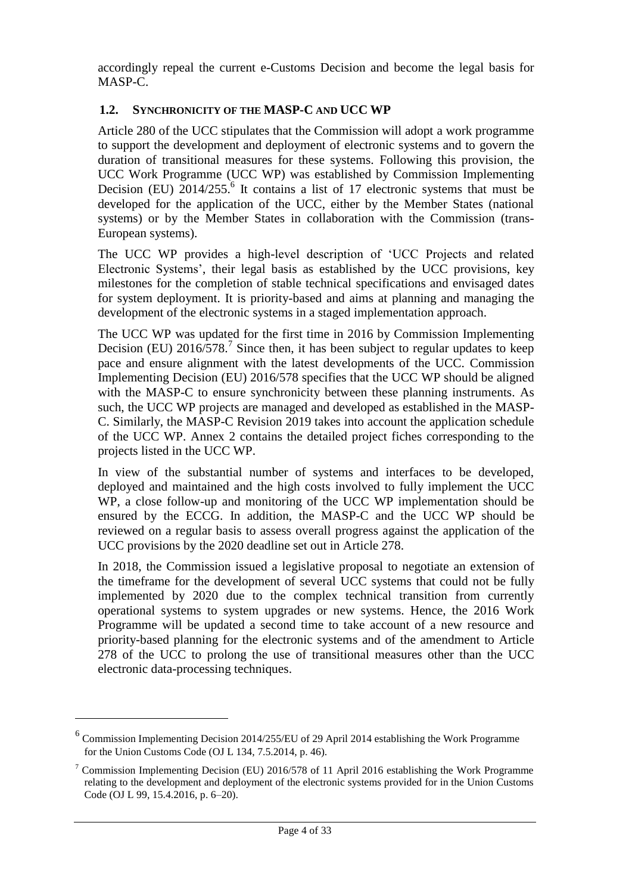accordingly repeal the current e-Customs Decision and become the legal basis for MASP-C.

# **1.2. SYNCHRONICITY OF THE MASP-C AND UCC WP**

Article 280 of the UCC stipulates that the Commission will adopt a work programme to support the development and deployment of electronic systems and to govern the duration of transitional measures for these systems. Following this provision, the UCC Work Programme (UCC WP) was established by Commission Implementing Decision (EU)  $2014/255$ .<sup>6</sup> It contains a list of 17 electronic systems that must be developed for the application of the UCC, either by the Member States (national systems) or by the Member States in collaboration with the Commission (trans-European systems).

The UCC WP provides a high-level description of 'UCC Projects and related Electronic Systems', their legal basis as established by the UCC provisions, key milestones for the completion of stable technical specifications and envisaged dates for system deployment. It is priority-based and aims at planning and managing the development of the electronic systems in a staged implementation approach.

The UCC WP was updated for the first time in 2016 by Commission Implementing Decision (EU) 2016/578.<sup>7</sup> Since then, it has been subject to regular updates to keep pace and ensure alignment with the latest developments of the UCC. Commission Implementing Decision (EU) 2016/578 specifies that the UCC WP should be aligned with the MASP-C to ensure synchronicity between these planning instruments. As such, the UCC WP projects are managed and developed as established in the MASP-C. Similarly, the MASP-C Revision 2019 takes into account the application schedule of the UCC WP. Annex 2 contains the detailed project fiches corresponding to the projects listed in the UCC WP.

In view of the substantial number of systems and interfaces to be developed, deployed and maintained and the high costs involved to fully implement the UCC WP, a close follow-up and monitoring of the UCC WP implementation should be ensured by the ECCG. In addition, the MASP-C and the UCC WP should be reviewed on a regular basis to assess overall progress against the application of the UCC provisions by the 2020 deadline set out in Article 278.

In 2018, the Commission issued a legislative proposal to negotiate an extension of the timeframe for the development of several UCC systems that could not be fully implemented by 2020 due to the complex technical transition from currently operational systems to system upgrades or new systems. Hence, the 2016 Work Programme will be updated a second time to take account of a new resource and priority-based planning for the electronic systems and of the amendment to Article 278 of the UCC to prolong the use of transitional measures other than the UCC electronic data-processing techniques.

<sup>&</sup>lt;sup>6</sup> Commission Implementing Decision 2014/255/EU of 29 April 2014 establishing the Work Programme for the Union Customs Code (OJ L 134, 7.5.2014, p. 46).

<sup>&</sup>lt;sup>7</sup> Commission Implementing Decision (EU) 2016/578 of 11 April 2016 establishing the Work Programme relating to the development and deployment of the electronic systems provided for in the Union Customs Code (OJ L 99, 15.4.2016, p. 6–20).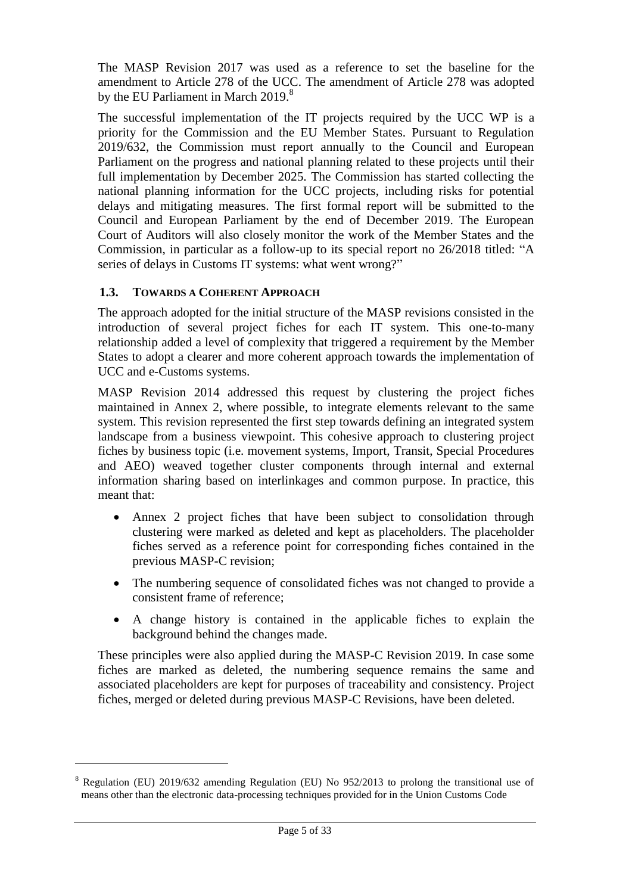The MASP Revision 2017 was used as a reference to set the baseline for the amendment to Article 278 of the UCC. The amendment of Article 278 was adopted by the EU Parliament in March 2019.<sup>8</sup>

The successful implementation of the IT projects required by the UCC WP is a priority for the Commission and the EU Member States. Pursuant to Regulation 2019/632, the Commission must report annually to the Council and European Parliament on the progress and national planning related to these projects until their full implementation by December 2025. The Commission has started collecting the national planning information for the UCC projects, including risks for potential delays and mitigating measures. The first formal report will be submitted to the Council and European Parliament by the end of December 2019. The European Court of Auditors will also closely monitor the work of the Member States and the Commission, in particular as a follow-up to its special report no 26/2018 titled: "A series of delays in Customs IT systems: what went wrong?"

# **1.3. TOWARDS A COHERENT APPROACH**

 $\overline{a}$ 

The approach adopted for the initial structure of the MASP revisions consisted in the introduction of several project fiches for each IT system. This one-to-many relationship added a level of complexity that triggered a requirement by the Member States to adopt a clearer and more coherent approach towards the implementation of UCC and e-Customs systems.

MASP Revision 2014 addressed this request by clustering the project fiches maintained in Annex 2, where possible, to integrate elements relevant to the same system. This revision represented the first step towards defining an integrated system landscape from a business viewpoint. This cohesive approach to clustering project fiches by business topic (i.e. movement systems, Import, Transit, Special Procedures and AEO) weaved together cluster components through internal and external information sharing based on interlinkages and common purpose. In practice, this meant that:

- Annex 2 project fiches that have been subject to consolidation through clustering were marked as deleted and kept as placeholders. The placeholder fiches served as a reference point for corresponding fiches contained in the previous MASP-C revision;
- The numbering sequence of consolidated fiches was not changed to provide a consistent frame of reference;
- A change history is contained in the applicable fiches to explain the background behind the changes made.

These principles were also applied during the MASP-C Revision 2019. In case some fiches are marked as deleted, the numbering sequence remains the same and associated placeholders are kept for purposes of traceability and consistency. Project fiches, merged or deleted during previous MASP-C Revisions, have been deleted.

<sup>8</sup> Regulation (EU) 2019/632 amending Regulation (EU) No 952/2013 to prolong the transitional use of means other than the electronic data-processing techniques provided for in the Union Customs Code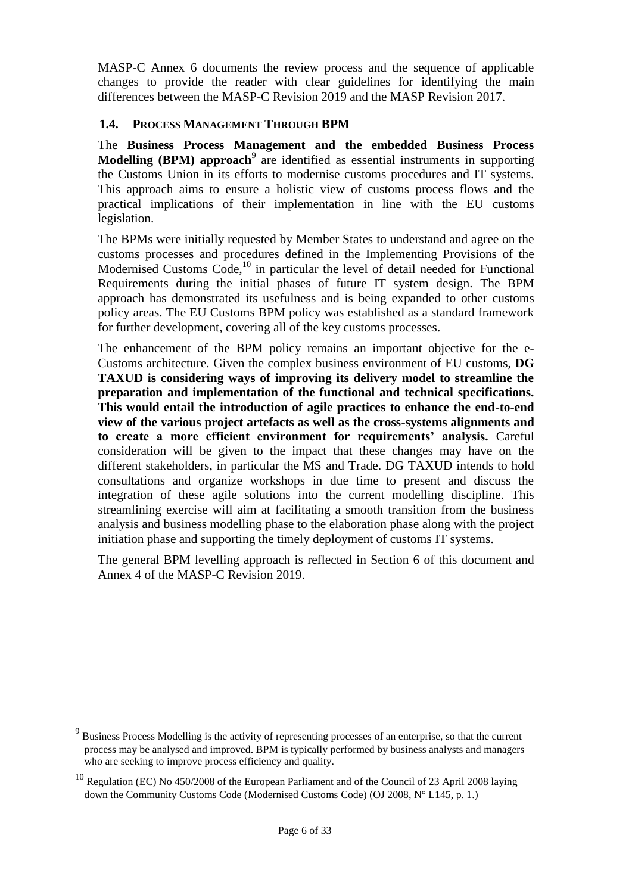MASP-C Annex 6 documents the review process and the sequence of applicable changes to provide the reader with clear guidelines for identifying the main differences between the MASP-C Revision 2019 and the MASP Revision 2017.

# **1.4. PROCESS MANAGEMENT THROUGH BPM**

The **Business Process Management and the embedded Business Process Modelling (BPM) approach**<sup>9</sup> are identified as essential instruments in supporting the Customs Union in its efforts to modernise customs procedures and IT systems. This approach aims to ensure a holistic view of customs process flows and the practical implications of their implementation in line with the EU customs legislation.

The BPMs were initially requested by Member States to understand and agree on the customs processes and procedures defined in the Implementing Provisions of the Modernised Customs Code,<sup>10</sup> in particular the level of detail needed for Functional Requirements during the initial phases of future IT system design. The BPM approach has demonstrated its usefulness and is being expanded to other customs policy areas. The EU Customs BPM policy was established as a standard framework for further development, covering all of the key customs processes.

The enhancement of the BPM policy remains an important objective for the e-Customs architecture. Given the complex business environment of EU customs, **DG TAXUD is considering ways of improving its delivery model to streamline the preparation and implementation of the functional and technical specifications. This would entail the introduction of agile practices to enhance the end-to-end view of the various project artefacts as well as the cross-systems alignments and to create a more efficient environment for requirements' analysis.** Careful consideration will be given to the impact that these changes may have on the different stakeholders, in particular the MS and Trade. DG TAXUD intends to hold consultations and organize workshops in due time to present and discuss the integration of these agile solutions into the current modelling discipline. This streamlining exercise will aim at facilitating a smooth transition from the business analysis and business modelling phase to the elaboration phase along with the project initiation phase and supporting the timely deployment of customs IT systems.

The general BPM levelling approach is reflected in Section 6 of this document and Annex 4 of the MASP-C Revision 2019.

<sup>&</sup>lt;sup>9</sup> Business Process Modelling is the activity of [representing processes](http://en.wikipedia.org/wiki/Process_modeling) of an enterprise, so that the current process may be analysed and improved. BPM is typically performed by business analysts and managers who are seeking to improve process efficiency and quality.

<sup>10</sup> Regulation (EC) No 450/2008 of the European Parliament and of the Council of 23 April 2008 laying down the Community Customs Code (Modernised Customs Code) (OJ 2008, N° L145, p. 1.)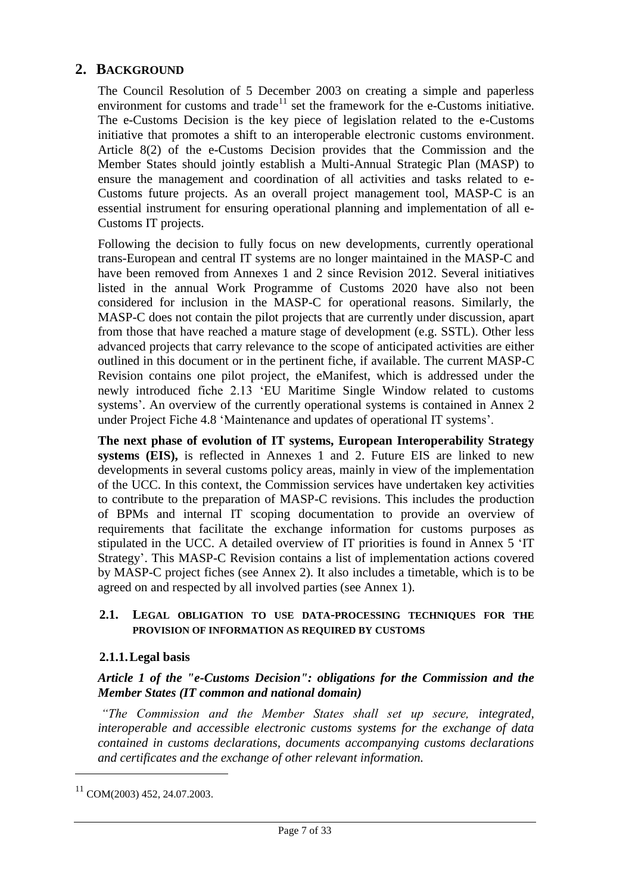# <span id="page-6-0"></span>**2. BACKGROUND**

The Council Resolution of 5 December 2003 on creating a simple and paperless environment for customs and trade<sup>11</sup> set the framework for the e-Customs initiative. The e-Customs Decision is the key piece of legislation related to the e-Customs initiative that promotes a shift to an interoperable electronic customs environment. Article 8(2) of the e-Customs Decision provides that the Commission and the Member States should jointly establish a Multi-Annual Strategic Plan (MASP) to ensure the management and coordination of all activities and tasks related to e-Customs future projects. As an overall project management tool, MASP-C is an essential instrument for ensuring operational planning and implementation of all e-Customs IT projects.

Following the decision to fully focus on new developments, currently operational trans-European and central IT systems are no longer maintained in the MASP-C and have been removed from Annexes 1 and 2 since Revision 2012. Several initiatives listed in the annual Work Programme of Customs 2020 have also not been considered for inclusion in the MASP-C for operational reasons. Similarly, the MASP-C does not contain the pilot projects that are currently under discussion, apart from those that have reached a mature stage of development (e.g. SSTL). Other less advanced projects that carry relevance to the scope of anticipated activities are either outlined in this document or in the pertinent fiche, if available. The current MASP-C Revision contains one pilot project, the eManifest, which is addressed under the newly introduced fiche 2.13 'EU Maritime Single Window related to customs systems'. An overview of the currently operational systems is contained in Annex 2 under Project Fiche 4.8 'Maintenance and updates of operational IT systems'.

**The next phase of evolution of IT systems, European Interoperability Strategy systems (EIS),** is reflected in Annexes 1 and 2. Future EIS are linked to new developments in several customs policy areas, mainly in view of the implementation of the UCC. In this context, the Commission services have undertaken key activities to contribute to the preparation of MASP-C revisions. This includes the production of BPMs and internal IT scoping documentation to provide an overview of requirements that facilitate the exchange information for customs purposes as stipulated in the UCC. A detailed overview of IT priorities is found in Annex 5 'IT Strategy'. This MASP-C Revision contains a list of implementation actions covered by MASP-C project fiches (see Annex 2). It also includes a timetable, which is to be agreed on and respected by all involved parties (see Annex 1).

#### **2.1. LEGAL OBLIGATION TO USE DATA-PROCESSING TECHNIQUES FOR THE PROVISION OF INFORMATION AS REQUIRED BY CUSTOMS**

#### **2.1.1.Legal basis**

#### *Article 1 of the "e-Customs Decision": obligations for the Commission and the Member States (IT common and national domain)*

*"The Commission and the Member States shall set up secure, integrated, interoperable and accessible electronic customs systems for the exchange of data contained in customs declarations, documents accompanying customs declarations and certificates and the exchange of other relevant information.*

<sup>11</sup> COM(2003) 452, 24.07.2003.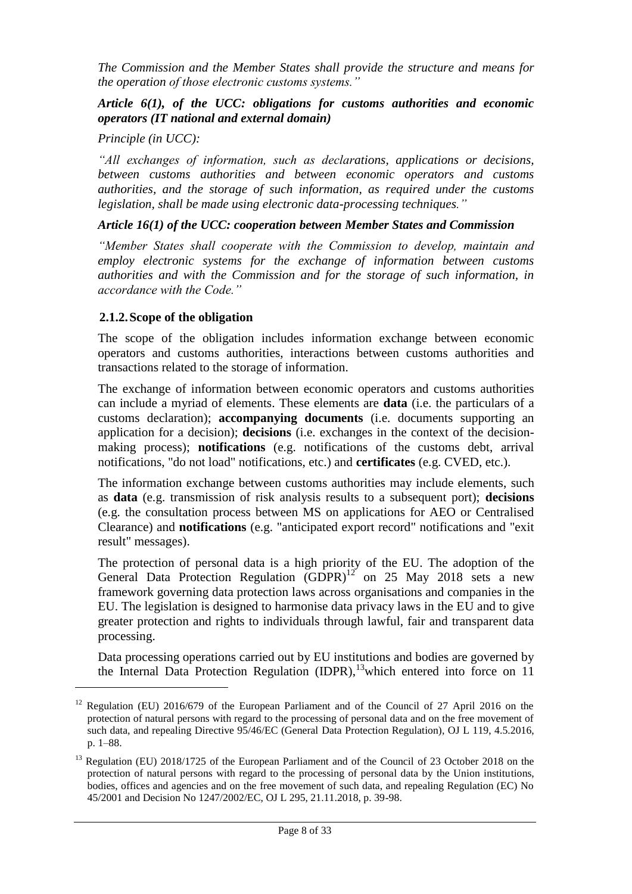*The Commission and the Member States shall provide the structure and means for the operation of those electronic customs systems."*

#### *Article 6(1), of the UCC: obligations for customs authorities and economic operators (IT national and external domain)*

*Principle (in UCC):*

*"All exchanges of information, such as declarations, applications or decisions, between customs authorities and between economic operators and customs authorities, and the storage of such information, as required under the customs legislation, shall be made using electronic data-processing techniques."* 

# *Article 16(1) of the UCC: cooperation between Member States and Commission*

*"Member States shall cooperate with the Commission to develop, maintain and employ electronic systems for the exchange of information between customs authorities and with the Commission and for the storage of such information, in accordance with the Code."*

# **2.1.2.Scope of the obligation**

 $\overline{a}$ 

The scope of the obligation includes information exchange between economic operators and customs authorities, interactions between customs authorities and transactions related to the storage of information.

The exchange of information between economic operators and customs authorities can include a myriad of elements. These elements are **data** (i.e. the particulars of a customs declaration); **accompanying documents** (i.e. documents supporting an application for a decision); **decisions** (i.e. exchanges in the context of the decisionmaking process); **notifications** (e.g. notifications of the customs debt, arrival notifications, "do not load" notifications, etc.) and **certificates** (e.g. CVED, etc.).

The information exchange between customs authorities may include elements, such as **data** (e.g. transmission of risk analysis results to a subsequent port); **decisions** (e.g. the consultation process between MS on applications for AEO or Centralised Clearance) and **notifications** (e.g. "anticipated export record" notifications and "exit result" messages).

The protection of personal data is a high priority of the EU. The adoption of the General Data Protection Regulation  $(GDPR)^{12}$  on 25 May 2018 sets a new framework governing data protection laws across organisations and companies in the EU. The legislation is designed to harmonise data privacy laws in the EU and to give greater protection and rights to individuals through lawful, fair and transparent data processing.

Data processing operations carried out by EU institutions and bodies are governed by the Internal Data Protection Regulation (IDPR),<sup>13</sup>which entered into force on 11

<sup>&</sup>lt;sup>12</sup> Regulation (EU) 2016/679 of the European Parliament and of the Council of 27 April 2016 on the protection of natural persons with regard to the processing of personal data and on the free movement of such data, and repealing Directive 95/46/EC (General Data Protection Regulation), OJ L 119, 4.5.2016, p. 1–88.

<sup>&</sup>lt;sup>13</sup> Regulation (EU) 2018/1725 of the European Parliament and of the Council of 23 October 2018 on the protection of natural persons with regard to the processing of personal data by the Union institutions, bodies, offices and agencies and on the free movement of such data, and repealing Regulation (EC) No 45/2001 and Decision No 1247/2002/EC, OJ L 295, 21.11.2018, p. 39-98.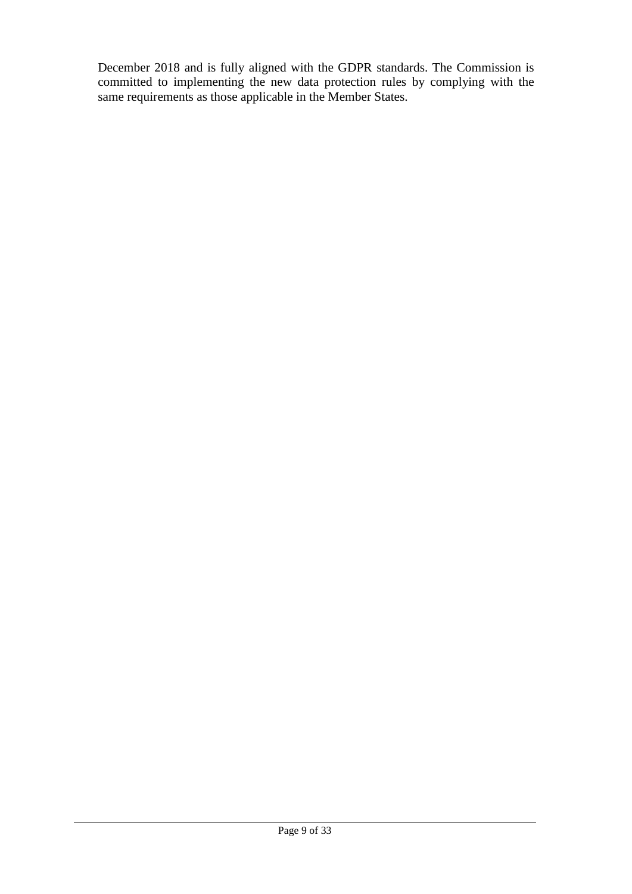December 2018 and is fully aligned with the GDPR standards. The Commission is committed to implementing the new data protection rules by complying with the same requirements as those applicable in the Member States.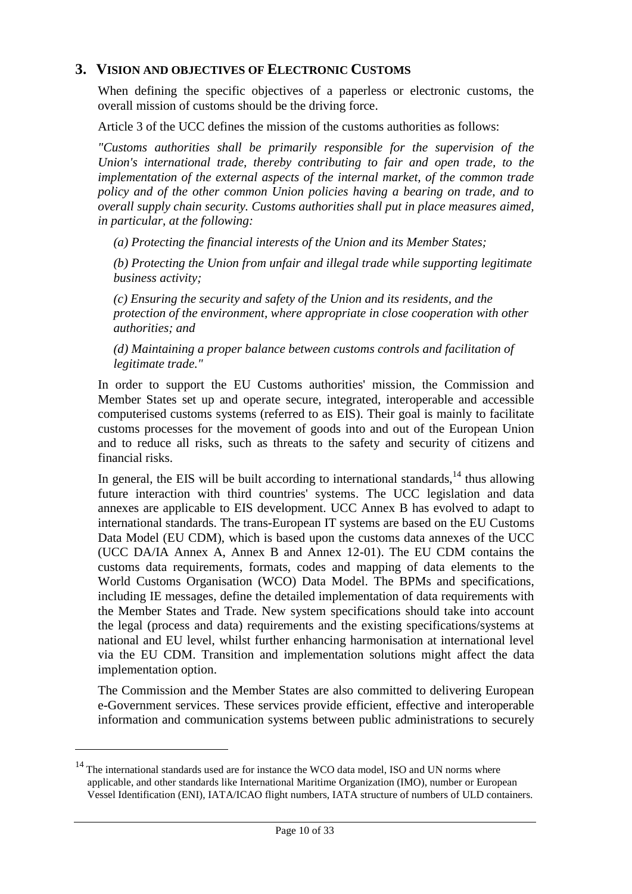# <span id="page-9-0"></span>**3. VISION AND OBJECTIVES OF ELECTRONIC CUSTOMS**

When defining the specific objectives of a paperless or electronic customs, the overall mission of customs should be the driving force.

Article 3 of the UCC defines the mission of the customs authorities as follows:

*"Customs authorities shall be primarily responsible for the supervision of the Union's international trade, thereby contributing to fair and open trade, to the implementation of the external aspects of the internal market, of the common trade policy and of the other common Union policies having a bearing on trade, and to overall supply chain security. Customs authorities shall put in place measures aimed, in particular, at the following:*

*(a) Protecting the financial interests of the Union and its Member States;*

*(b) Protecting the Union from unfair and illegal trade while supporting legitimate business activity;*

*(c) Ensuring the security and safety of the Union and its residents, and the protection of the environment, where appropriate in close cooperation with other authorities; and*

*(d) Maintaining a proper balance between customs controls and facilitation of legitimate trade."*

In order to support the EU Customs authorities' mission, the Commission and Member States set up and operate secure, integrated, interoperable and accessible computerised customs systems (referred to as EIS). Their goal is mainly to facilitate customs processes for the movement of goods into and out of the European Union and to reduce all risks, such as threats to the safety and security of citizens and financial risks.

In general, the EIS will be built according to international standards, $^{14}$  thus allowing future interaction with third countries' systems. The UCC legislation and data annexes are applicable to EIS development. UCC Annex B has evolved to adapt to international standards. The trans-European IT systems are based on the EU Customs Data Model (EU CDM), which is based upon the customs data annexes of the UCC (UCC DA/IA Annex A, Annex B and Annex 12-01). The EU CDM contains the customs data requirements, formats, codes and mapping of data elements to the World Customs Organisation (WCO) Data Model. The BPMs and specifications, including IE messages, define the detailed implementation of data requirements with the Member States and Trade. New system specifications should take into account the legal (process and data) requirements and the existing specifications/systems at national and EU level, whilst further enhancing harmonisation at international level via the EU CDM. Transition and implementation solutions might affect the data implementation option.

The Commission and the Member States are also committed to delivering European e-Government services. These services provide efficient, effective and interoperable information and communication systems between public administrations to securely

<sup>&</sup>lt;sup>14</sup> The international standards used are for instance the WCO data model, ISO and UN norms where applicable, and other standards like International Maritime Organization (IMO), number or European Vessel Identification (ENI), IATA/ICAO flight numbers, IATA structure of numbers of ULD containers.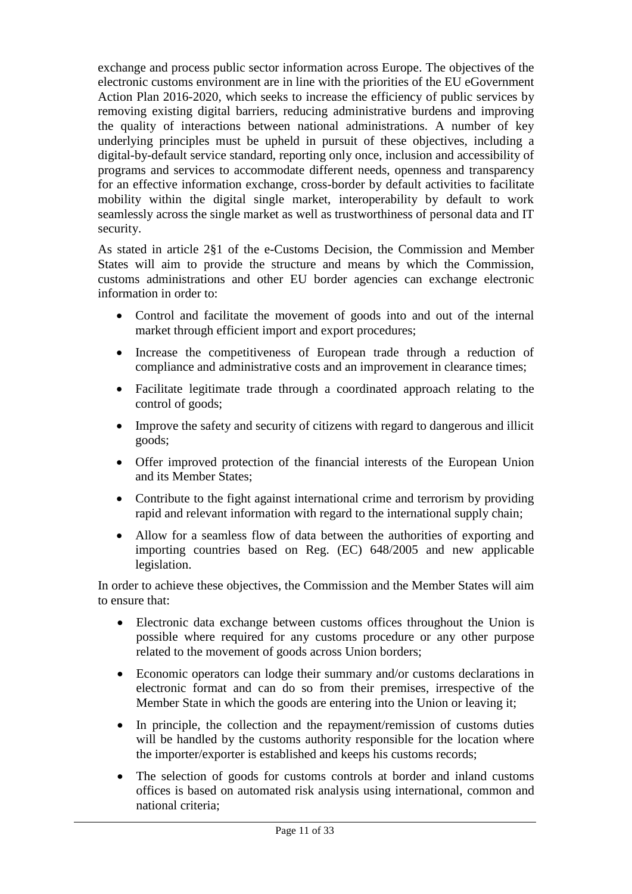exchange and process public sector information across Europe. The objectives of the electronic customs environment are in line with the priorities of the EU eGovernment Action Plan 2016-2020, which seeks to increase the efficiency of public services by removing existing digital barriers, reducing administrative burdens and improving the quality of interactions between national administrations. A number of key underlying principles must be upheld in pursuit of these objectives, including a digital-by-default service standard, reporting only once, inclusion and accessibility of programs and services to accommodate different needs, openness and transparency for an effective information exchange, cross-border by default activities to facilitate mobility within the digital single market, interoperability by default to work seamlessly across the single market as well as trustworthiness of personal data and IT security.

As stated in article 2§1 of the e-Customs Decision, the Commission and Member States will aim to provide the structure and means by which the Commission, customs administrations and other EU border agencies can exchange electronic information in order to:

- Control and facilitate the movement of goods into and out of the internal market through efficient import and export procedures;
- Increase the competitiveness of European trade through a reduction of compliance and administrative costs and an improvement in clearance times;
- Facilitate legitimate trade through a coordinated approach relating to the control of goods;
- Improve the safety and security of citizens with regard to dangerous and illicit goods;
- Offer improved protection of the financial interests of the European Union and its Member States;
- Contribute to the fight against international crime and terrorism by providing rapid and relevant information with regard to the international supply chain;
- Allow for a seamless flow of data between the authorities of exporting and importing countries based on Reg. (EC) 648/2005 and new applicable legislation.

In order to achieve these objectives, the Commission and the Member States will aim to ensure that:

- Electronic data exchange between customs offices throughout the Union is possible where required for any customs procedure or any other purpose related to the movement of goods across Union borders;
- Economic operators can lodge their summary and/or customs declarations in electronic format and can do so from their premises, irrespective of the Member State in which the goods are entering into the Union or leaving it;
- In principle, the collection and the repayment/remission of customs duties will be handled by the customs authority responsible for the location where the importer/exporter is established and keeps his customs records;
- The selection of goods for customs controls at border and inland customs offices is based on automated risk analysis using international, common and national criteria;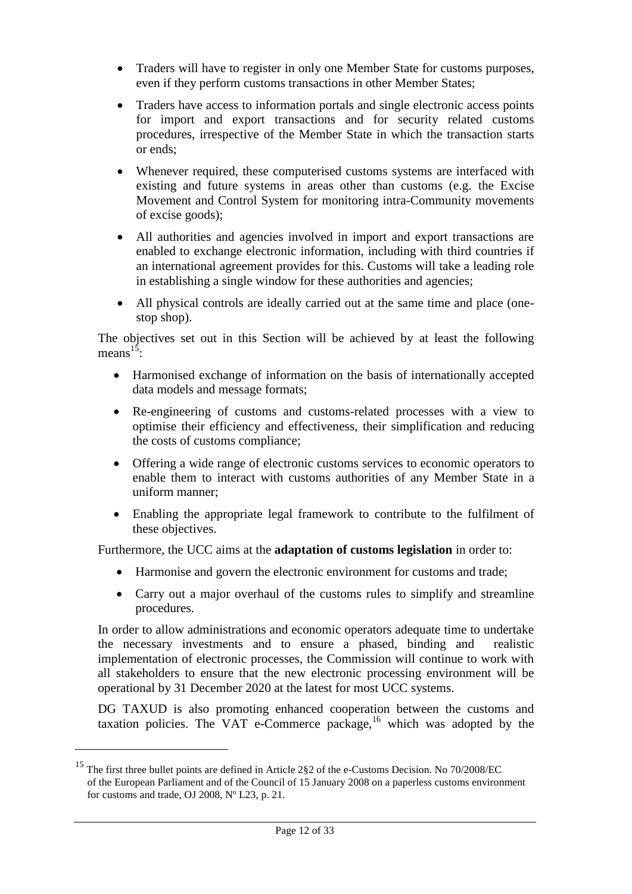- Traders will have to register in only one Member State for customs purposes, even if they perform customs transactions in other Member States;
- Traders have access to information portals and single electronic access points for import and export transactions and for security related customs procedures, irrespective of the Member State in which the transaction starts or ends;
- Whenever required, these computerised customs systems are interfaced with existing and future systems in areas other than customs (e.g. the Excise Movement and Control System for monitoring intra-Community movements of excise goods);
- All authorities and agencies involved in import and export transactions are enabled to exchange electronic information, including with third countries if an international agreement provides for this. Customs will take a leading role in establishing a single window for these authorities and agencies;
- All physical controls are ideally carried out at the same time and place (onestop shop).

The objectives set out in this Section will be achieved by at least the following means<sup> $15$ </sup>:

- Harmonised exchange of information on the basis of internationally accepted data models and message formats;
- Re-engineering of customs and customs-related processes with a view to optimise their efficiency and effectiveness, their simplification and reducing the costs of customs compliance;
- Offering a wide range of electronic customs services to economic operators to enable them to interact with customs authorities of any Member State in a uniform manner;
- Enabling the appropriate legal framework to contribute to the fulfilment of these objectives.

Furthermore, the UCC aims at the **adaptation of customs legislation** in order to:

- Harmonise and govern the electronic environment for customs and trade;
- Carry out a major overhaul of the customs rules to simplify and streamline procedures.

In order to allow administrations and economic operators adequate time to undertake the necessary investments and to ensure a phased, binding and realistic implementation of electronic processes, the Commission will continue to work with all stakeholders to ensure that the new electronic processing environment will be operational by 31 December 2020 at the latest for most UCC systems.

DG TAXUD is also promoting enhanced cooperation between the customs and taxation policies. The VAT e-Commerce package,<sup>16</sup> which was adopted by the

<sup>15</sup> The first three bullet points are defined in Article 2§2 of the e-Customs Decision. No 70/2008/EC of the European Parliament and of the Council of 15 January 2008 on a paperless customs environment for customs and trade, OJ 2008, Nº L23, p. 21.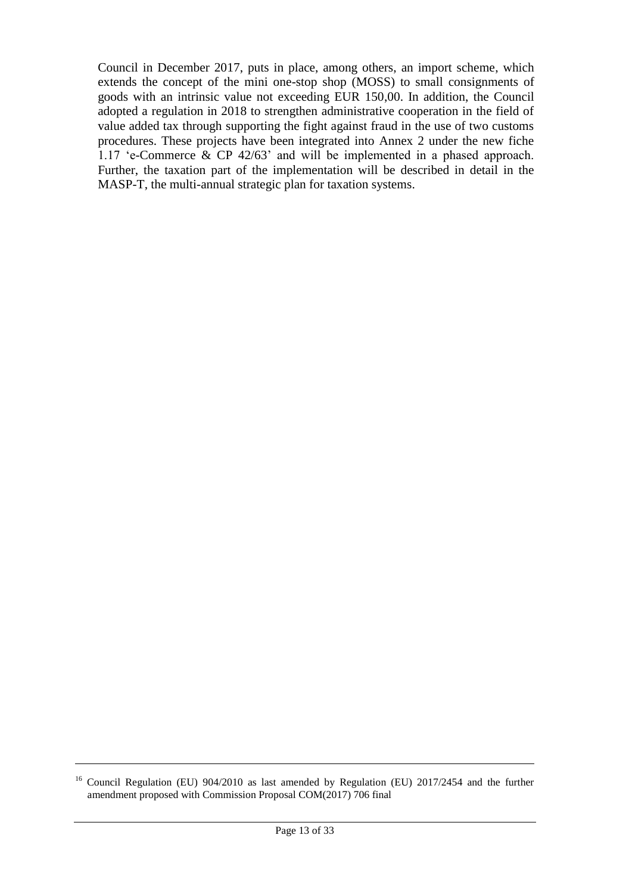Council in December 2017, puts in place, among others, an import scheme, which extends the concept of the mini one-stop shop (MOSS) to small consignments of goods with an intrinsic value not exceeding EUR 150,00. In addition, the Council adopted a regulation in 2018 to strengthen administrative cooperation in the field of value added tax through supporting the fight against fraud in the use of two customs procedures. These projects have been integrated into Annex 2 under the new fiche 1.17 'e-Commerce & CP 42/63' and will be implemented in a phased approach. Further, the taxation part of the implementation will be described in detail in the MASP-T, the multi-annual strategic plan for taxation systems.

<sup>&</sup>lt;sup>16</sup> Council Regulation (EU) 904/2010 as last amended by Regulation (EU) 2017/2454 and the further amendment proposed with Commission Proposal COM(2017) 706 final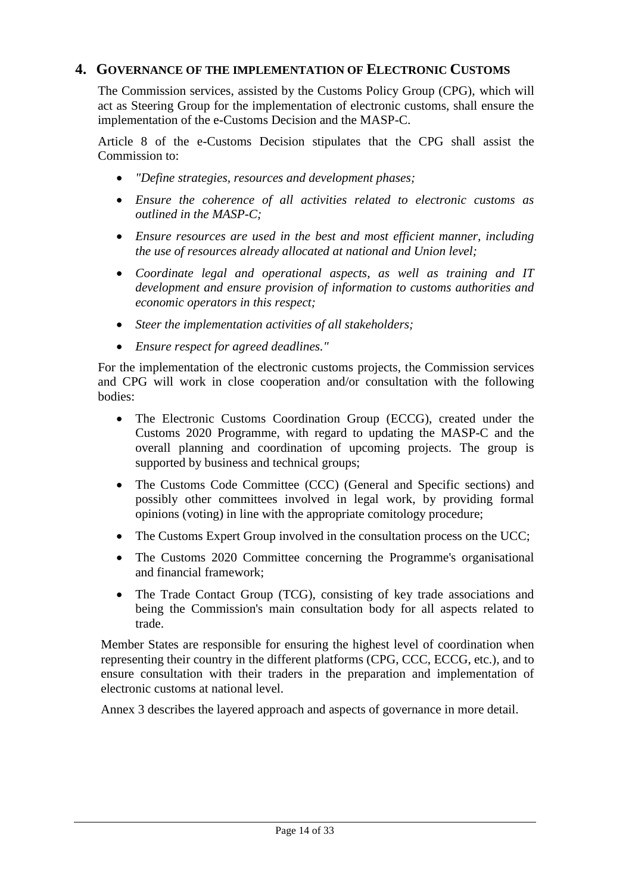# <span id="page-13-0"></span>**4. GOVERNANCE OF THE IMPLEMENTATION OF ELECTRONIC CUSTOMS**

The Commission services, assisted by the Customs Policy Group (CPG), which will act as Steering Group for the implementation of electronic customs, shall ensure the implementation of the e-Customs Decision and the MASP-C.

Article 8 of the e-Customs Decision stipulates that the CPG shall assist the Commission to:

- *"Define strategies, resources and development phases;*
- *Ensure the coherence of all activities related to electronic customs as outlined in the MASP-C;*
- *Ensure resources are used in the best and most efficient manner, including the use of resources already allocated at national and Union level;*
- *Coordinate legal and operational aspects, as well as training and IT development and ensure provision of information to customs authorities and economic operators in this respect;*
- *Steer the implementation activities of all stakeholders;*
- *Ensure respect for agreed deadlines."*

For the implementation of the electronic customs projects, the Commission services and CPG will work in close cooperation and/or consultation with the following bodies:

- The Electronic Customs Coordination Group (ECCG), created under the Customs 2020 Programme, with regard to updating the MASP-C and the overall planning and coordination of upcoming projects. The group is supported by business and technical groups;
- The Customs Code Committee (CCC) (General and Specific sections) and possibly other committees involved in legal work, by providing formal opinions (voting) in line with the appropriate comitology procedure;
- The Customs Expert Group involved in the consultation process on the UCC;
- The Customs 2020 Committee concerning the Programme's organisational and financial framework;
- The Trade Contact Group (TCG), consisting of key trade associations and being the Commission's main consultation body for all aspects related to trade.

Member States are responsible for ensuring the highest level of coordination when representing their country in the different platforms (CPG, CCC, ECCG, etc.), and to ensure consultation with their traders in the preparation and implementation of electronic customs at national level.

Annex 3 describes the layered approach and aspects of governance in more detail.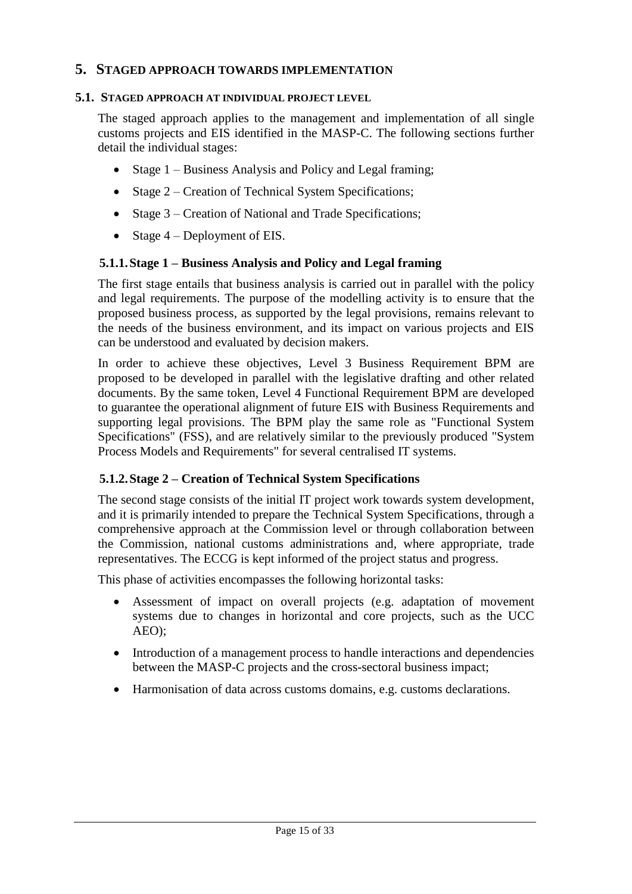#### <span id="page-14-0"></span>**5. STAGED APPROACH TOWARDS IMPLEMENTATION**

#### **5.1. STAGED APPROACH AT INDIVIDUAL PROJECT LEVEL**

The staged approach applies to the management and implementation of all single customs projects and EIS identified in the MASP-C. The following sections further detail the individual stages:

- Stage 1 Business Analysis and Policy and Legal framing;
- Stage 2 Creation of Technical System Specifications;
- Stage 3 Creation of National and Trade Specifications;
- Stage  $4$  Deployment of EIS.

#### **5.1.1.Stage 1 – Business Analysis and Policy and Legal framing**

The first stage entails that business analysis is carried out in parallel with the policy and legal requirements. The purpose of the modelling activity is to ensure that the proposed business process, as supported by the legal provisions, remains relevant to the needs of the business environment, and its impact on various projects and EIS can be understood and evaluated by decision makers.

In order to achieve these objectives, Level 3 Business Requirement BPM are proposed to be developed in parallel with the legislative drafting and other related documents. By the same token, Level 4 Functional Requirement BPM are developed to guarantee the operational alignment of future EIS with Business Requirements and supporting legal provisions. The BPM play the same role as "Functional System Specifications" (FSS), and are relatively similar to the previously produced "System Process Models and Requirements" for several centralised IT systems.

#### **5.1.2.Stage 2 – Creation of Technical System Specifications**

The second stage consists of the initial IT project work towards system development, and it is primarily intended to prepare the Technical System Specifications, through a comprehensive approach at the Commission level or through collaboration between the Commission, national customs administrations and, where appropriate, trade representatives. The ECCG is kept informed of the project status and progress.

This phase of activities encompasses the following horizontal tasks:

- Assessment of impact on overall projects (e.g. adaptation of movement systems due to changes in horizontal and core projects, such as the UCC AEO);
- Introduction of a management process to handle interactions and dependencies between the MASP-C projects and the cross-sectoral business impact;
- Harmonisation of data across customs domains, e.g. customs declarations.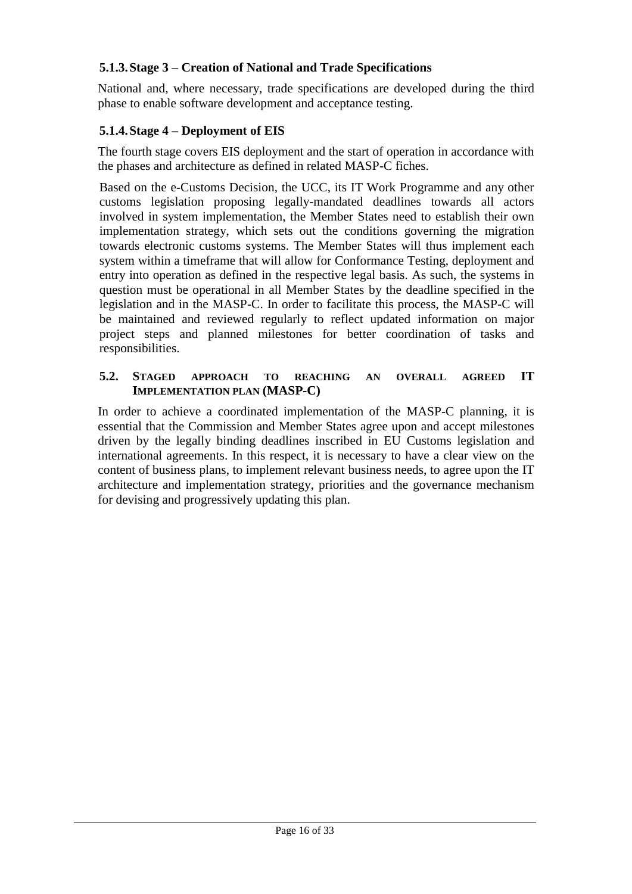# **5.1.3.Stage 3 – Creation of National and Trade Specifications**

National and, where necessary, trade specifications are developed during the third phase to enable software development and acceptance testing.

# **5.1.4.Stage 4 – Deployment of EIS**

The fourth stage covers EIS deployment and the start of operation in accordance with the phases and architecture as defined in related MASP-C fiches.

Based on the e-Customs Decision, the UCC, its IT Work Programme and any other customs legislation proposing legally-mandated deadlines towards all actors involved in system implementation, the Member States need to establish their own implementation strategy, which sets out the conditions governing the migration towards electronic customs systems. The Member States will thus implement each system within a timeframe that will allow for Conformance Testing, deployment and entry into operation as defined in the respective legal basis. As such, the systems in question must be operational in all Member States by the deadline specified in the legislation and in the MASP-C. In order to facilitate this process, the MASP-C will be maintained and reviewed regularly to reflect updated information on major project steps and planned milestones for better coordination of tasks and responsibilities.

#### **5.2. STAGED APPROACH TO REACHING AN OVERALL AGREED IT IMPLEMENTATION PLAN (MASP-C)**

In order to achieve a coordinated implementation of the MASP-C planning, it is essential that the Commission and Member States agree upon and accept milestones driven by the legally binding deadlines inscribed in EU Customs legislation and international agreements. In this respect, it is necessary to have a clear view on the content of business plans, to implement relevant business needs, to agree upon the IT architecture and implementation strategy, priorities and the governance mechanism for devising and progressively updating this plan.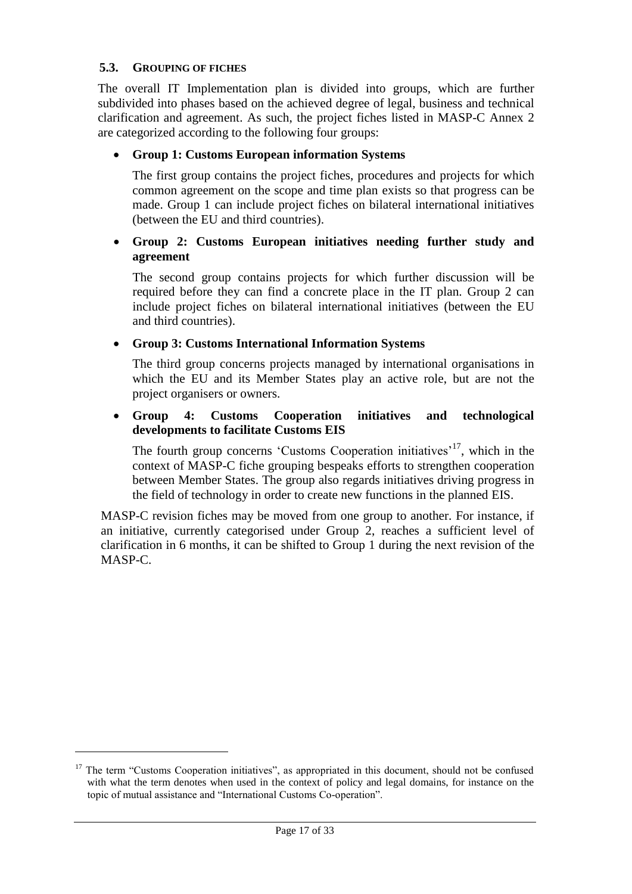#### **5.3. GROUPING OF FICHES**

 $\overline{a}$ 

The overall IT Implementation plan is divided into groups, which are further subdivided into phases based on the achieved degree of legal, business and technical clarification and agreement. As such, the project fiches listed in MASP-C Annex 2 are categorized according to the following four groups:

#### **Group 1: Customs European information Systems**

The first group contains the project fiches, procedures and projects for which common agreement on the scope and time plan exists so that progress can be made. Group 1 can include project fiches on bilateral international initiatives (between the EU and third countries).

#### **Group 2: Customs European initiatives needing further study and agreement**

The second group contains projects for which further discussion will be required before they can find a concrete place in the IT plan. Group 2 can include project fiches on bilateral international initiatives (between the EU and third countries).

#### **Group 3: Customs International Information Systems**

The third group concerns projects managed by international organisations in which the EU and its Member States play an active role, but are not the project organisers or owners.

#### **Group 4: Customs Cooperation initiatives and technological developments to facilitate Customs EIS**

The fourth group concerns 'Customs Cooperation initiatives'<sup>17</sup>, which in the context of MASP-C fiche grouping bespeaks efforts to strengthen cooperation between Member States. The group also regards initiatives driving progress in the field of technology in order to create new functions in the planned EIS.

MASP-C revision fiches may be moved from one group to another. For instance, if an initiative, currently categorised under Group 2, reaches a sufficient level of clarification in 6 months, it can be shifted to Group 1 during the next revision of the MASP-C.

<sup>&</sup>lt;sup>17</sup> The term "Customs Cooperation initiatives", as appropriated in this document, should not be confused with what the term denotes when used in the context of policy and legal domains, for instance on the topic of mutual assistance and "International Customs Co-operation".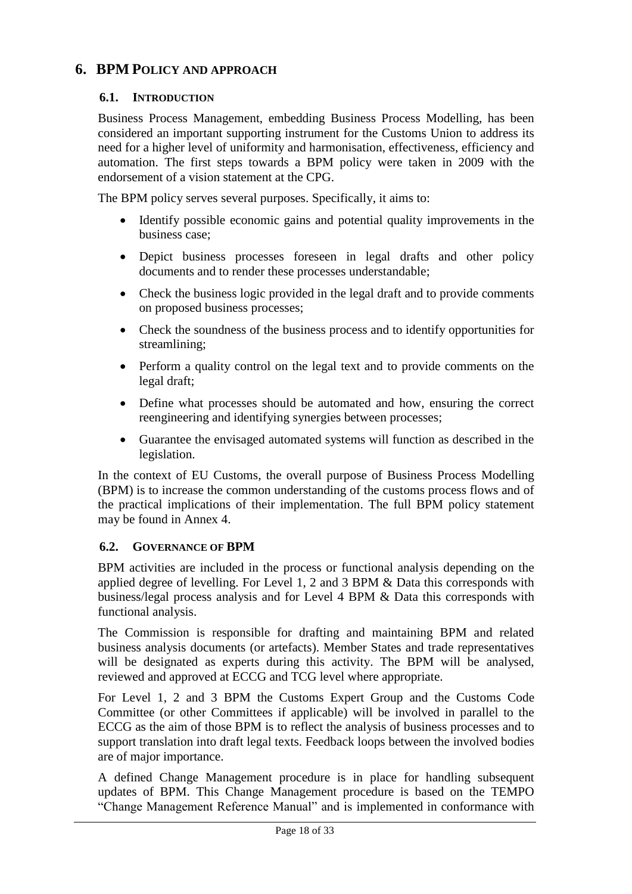# <span id="page-17-0"></span>**6. BPM POLICY AND APPROACH**

#### **6.1. INTRODUCTION**

Business Process Management, embedding Business Process Modelling, has been considered an important supporting instrument for the Customs Union to address its need for a higher level of uniformity and harmonisation, effectiveness, efficiency and automation. The first steps towards a BPM policy were taken in 2009 with the endorsement of a vision statement at the CPG.

The BPM policy serves several purposes. Specifically, it aims to:

- Identify possible economic gains and potential quality improvements in the business case;
- Depict business processes foreseen in legal drafts and other policy documents and to render these processes understandable;
- Check the business logic provided in the legal draft and to provide comments on proposed business processes;
- Check the soundness of the business process and to identify opportunities for streamlining;
- Perform a quality control on the legal text and to provide comments on the legal draft;
- Define what processes should be automated and how, ensuring the correct reengineering and identifying synergies between processes;
- Guarantee the envisaged automated systems will function as described in the legislation.

In the context of EU Customs, the overall purpose of Business Process Modelling (BPM) is to increase the common understanding of the customs process flows and of the practical implications of their implementation. The full BPM policy statement may be found in Annex 4.

#### **6.2. GOVERNANCE OF BPM**

BPM activities are included in the process or functional analysis depending on the applied degree of levelling. For Level 1, 2 and 3 BPM & Data this corresponds with business/legal process analysis and for Level 4 BPM & Data this corresponds with functional analysis.

The Commission is responsible for drafting and maintaining BPM and related business analysis documents (or artefacts). Member States and trade representatives will be designated as experts during this activity. The BPM will be analysed, reviewed and approved at ECCG and TCG level where appropriate.

For Level 1, 2 and 3 BPM the Customs Expert Group and the Customs Code Committee (or other Committees if applicable) will be involved in parallel to the ECCG as the aim of those BPM is to reflect the analysis of business processes and to support translation into draft legal texts. Feedback loops between the involved bodies are of major importance.

A defined Change Management procedure is in place for handling subsequent updates of BPM. This Change Management procedure is based on the TEMPO "Change Management Reference Manual" and is implemented in conformance with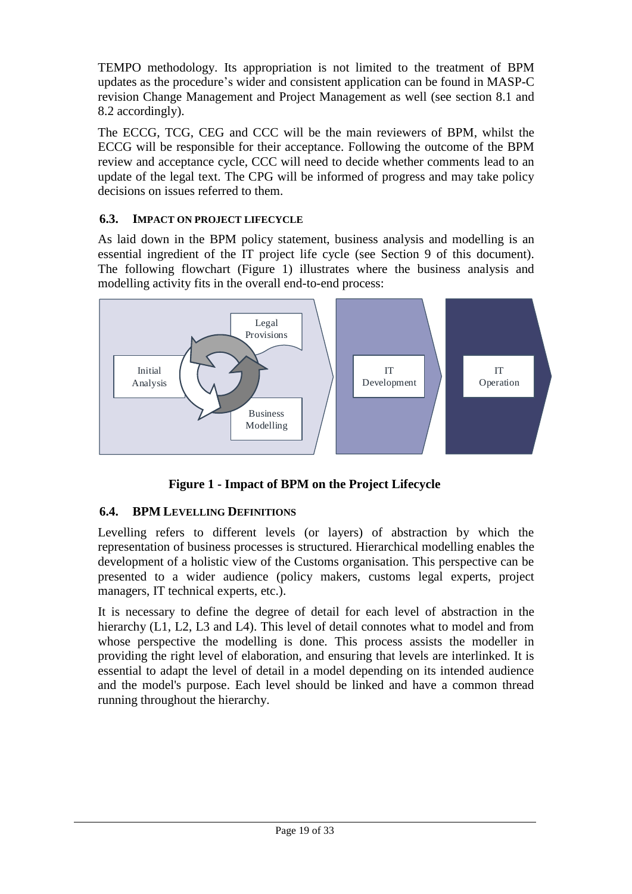TEMPO methodology. Its appropriation is not limited to the treatment of BPM updates as the procedure's wider and consistent application can be found in MASP-C revision Change Management and Project Management as well (see section 8.1 and 8.2 accordingly).

The ECCG, TCG, CEG and CCC will be the main reviewers of BPM, whilst the ECCG will be responsible for their acceptance. Following the outcome of the BPM review and acceptance cycle, CCC will need to decide whether comments lead to an update of the legal text. The CPG will be informed of progress and may take policy decisions on issues referred to them.

# **6.3. IMPACT ON PROJECT LIFECYCLE**

As laid down in the BPM policy statement, business analysis and modelling is an essential ingredient of the IT project life cycle (see Section 9 of this document). The following flowchart (Figure 1) illustrates where the business analysis and modelling activity fits in the overall end-to-end process:



**Figure 1 - Impact of BPM on the Project Lifecycle**

# <span id="page-18-0"></span>**6.4. BPM LEVELLING DEFINITIONS**

Levelling refers to different levels (or layers) of abstraction by which the representation of business processes is structured. Hierarchical modelling enables the development of a holistic view of the Customs organisation. This perspective can be presented to a wider audience (policy makers, customs legal experts, project managers, IT technical experts, etc.).

It is necessary to define the degree of detail for each level of abstraction in the hierarchy (L1, L2, L3 and L4). This level of detail connotes what to model and from whose perspective the modelling is done. This process assists the modeller in providing the right level of elaboration, and ensuring that levels are interlinked. It is essential to adapt the level of detail in a model depending on its intended audience and the model's purpose. Each level should be linked and have a common thread running throughout the hierarchy.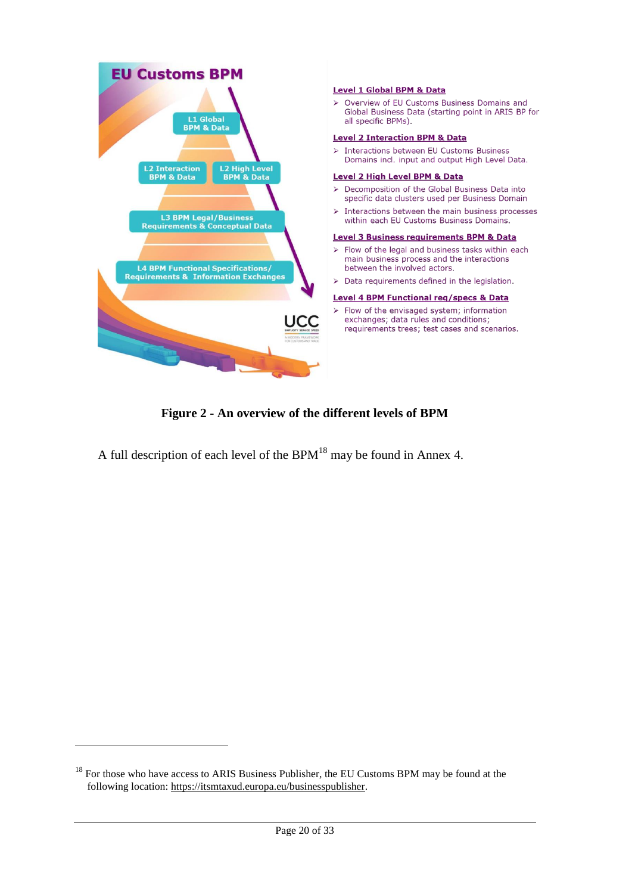



<span id="page-19-0"></span>A full description of each level of the  $BPM<sup>18</sup>$  may be found in Annex 4.

 $18$  For those who have access to ARIS Business Publisher, the EU Customs BPM may be found at the following location: [https://itsmtaxud.europa.eu/businesspublisher.](https://itsmtaxud.europa.eu/businesspublisher)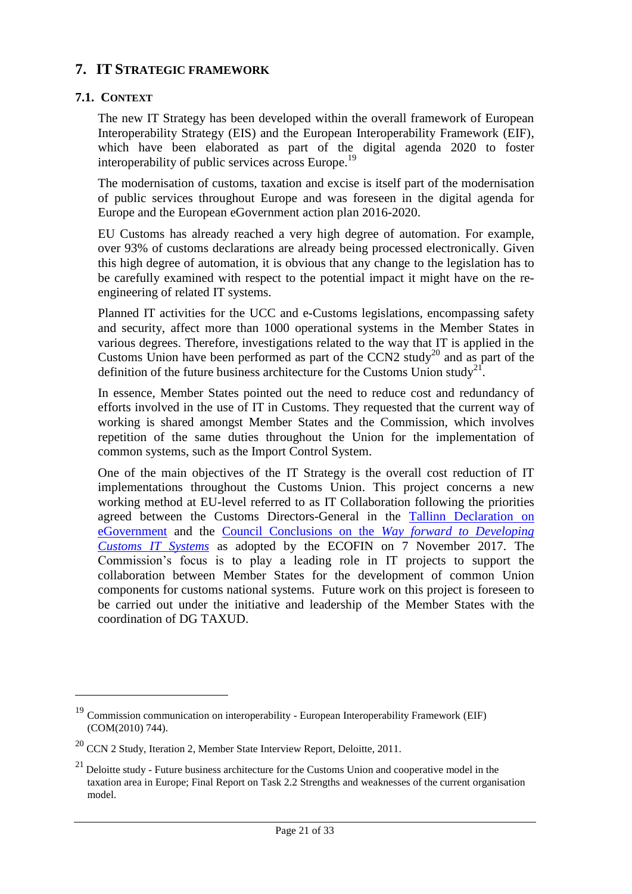# <span id="page-20-0"></span>**7. IT STRATEGIC FRAMEWORK**

#### **7.1. CONTEXT**

 $\overline{a}$ 

The new IT Strategy has been developed within the overall framework of European Interoperability Strategy (EIS) and the European Interoperability Framework (EIF), which have been elaborated as part of the digital agenda 2020 to foster interoperability of public services across Europe.<sup>19</sup>

The modernisation of customs, taxation and excise is itself part of the modernisation of public services throughout Europe and was foreseen in the digital agenda for Europe and the European eGovernment action plan 2016-2020.

EU Customs has already reached a very high degree of automation. For example, over 93% of customs declarations are already being processed electronically. Given this high degree of automation, it is obvious that any change to the legislation has to be carefully examined with respect to the potential impact it might have on the reengineering of related IT systems.

Planned IT activities for the UCC and e-Customs legislations, encompassing safety and security, affect more than 1000 operational systems in the Member States in various degrees. Therefore, investigations related to the way that IT is applied in the Customs Union have been performed as part of the CCN2 study<sup>20</sup> and as part of the definition of the future business architecture for the Customs Union study<sup>21</sup>.

In essence, Member States pointed out the need to reduce cost and redundancy of efforts involved in the use of IT in Customs. They requested that the current way of working is shared amongst Member States and the Commission, which involves repetition of the same duties throughout the Union for the implementation of common systems, such as the Import Control System.

One of the main objectives of the IT Strategy is the overall cost reduction of IT implementations throughout the Customs Union. This project concerns a new working method at EU-level referred to as IT Collaboration following the priorities agreed between the Customs Directors-General in the [Tallinn Declaration](https://ec.europa.eu/newsroom/document.cfm?doc_id=47559) on [eGovernment](https://ec.europa.eu/newsroom/document.cfm?doc_id=47559) and the [Council Conclusions on the](https://eur-lex.europa.eu/legal-content/EN/TXT/PDF/?uri=OJ:JOC_2018_004_R_0002&from=EN) *Way forward to Developing [Customs IT Systems](https://eur-lex.europa.eu/legal-content/EN/TXT/PDF/?uri=OJ:JOC_2018_004_R_0002&from=EN)* as adopted by the ECOFIN on 7 November 2017. The Commission's focus is to play a leading role in IT projects to support the collaboration between Member States for the development of common Union components for customs national systems. Future work on this project is foreseen to be carried out under the initiative and leadership of the Member States with the coordination of DG TAXUD.

 $19$  Commission communication on interoperability - European Interoperability Framework (EIF) (COM(2010) 744).

 $^{20}$  CCN 2 Study, Iteration 2, Member State Interview Report, Deloitte, 2011.

 $21$  Deloitte study - Future business architecture for the Customs Union and cooperative model in the taxation area in Europe; Final Report on Task 2.2 Strengths and weaknesses of the current organisation model.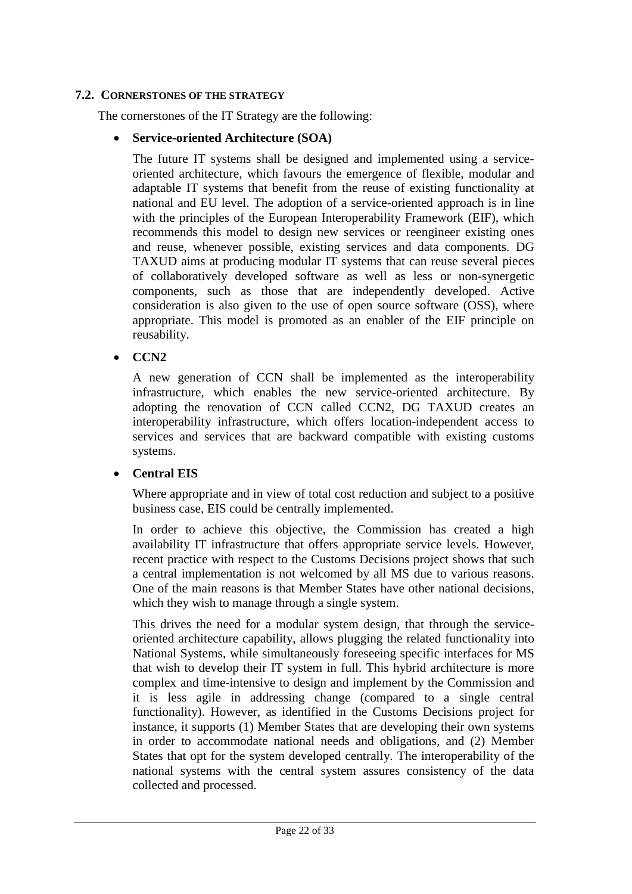#### **7.2. CORNERSTONES OF THE STRATEGY**

The cornerstones of the IT Strategy are the following:

#### **Service-oriented Architecture (SOA)**

The future IT systems shall be designed and implemented using a serviceoriented architecture, which favours the emergence of flexible, modular and adaptable IT systems that benefit from the reuse of existing functionality at national and EU level. The adoption of a service-oriented approach is in line with the principles of the European Interoperability Framework (EIF), which recommends this model to design new services or reengineer existing ones and reuse, whenever possible, existing services and data components. DG TAXUD aims at producing modular IT systems that can reuse several pieces of collaboratively developed software as well as less or non-synergetic components, such as those that are independently developed. Active consideration is also given to the use of open source software (OSS), where appropriate. This model is promoted as an enabler of the EIF principle on reusability.

#### $\bullet$  CCN<sub>2</sub>

A new generation of CCN shall be implemented as the interoperability infrastructure, which enables the new service-oriented architecture. By adopting the renovation of CCN called CCN2, DG TAXUD creates an interoperability infrastructure, which offers location-independent access to services and services that are backward compatible with existing customs systems.

#### **Central EIS**

Where appropriate and in view of total cost reduction and subject to a positive business case, EIS could be centrally implemented.

In order to achieve this objective, the Commission has created a high availability IT infrastructure that offers appropriate service levels. However, recent practice with respect to the Customs Decisions project shows that such a central implementation is not welcomed by all MS due to various reasons. One of the main reasons is that Member States have other national decisions, which they wish to manage through a single system.

This drives the need for a modular system design, that through the serviceoriented architecture capability, allows plugging the related functionality into National Systems, while simultaneously foreseeing specific interfaces for MS that wish to develop their IT system in full. This hybrid architecture is more complex and time-intensive to design and implement by the Commission and it is less agile in addressing change (compared to a single central functionality). However, as identified in the Customs Decisions project for instance, it supports (1) Member States that are developing their own systems in order to accommodate national needs and obligations, and (2) Member States that opt for the system developed centrally. The interoperability of the national systems with the central system assures consistency of the data collected and processed.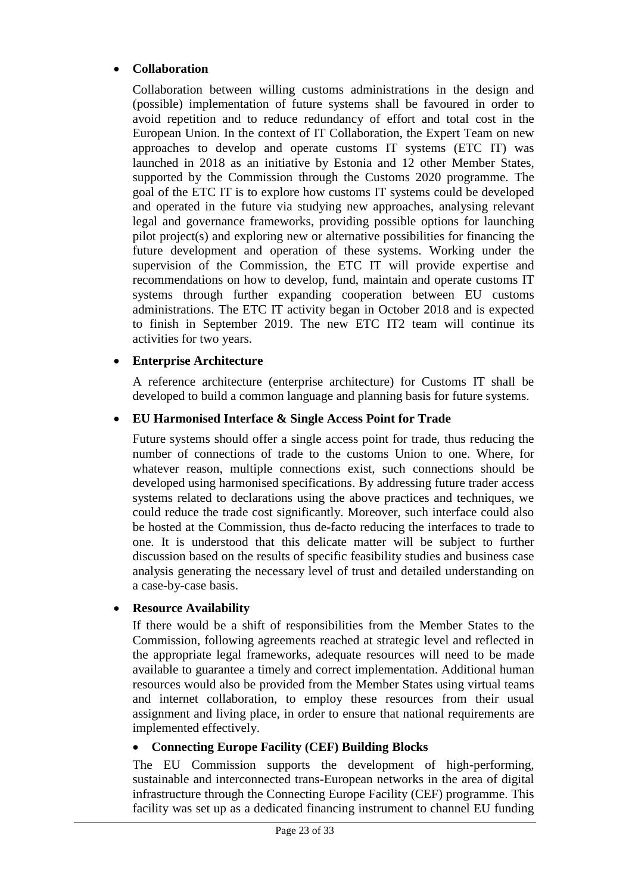# **Collaboration**

Collaboration between willing customs administrations in the design and (possible) implementation of future systems shall be favoured in order to avoid repetition and to reduce redundancy of effort and total cost in the European Union. In the context of IT Collaboration, the Expert Team on new approaches to develop and operate customs IT systems (ETC IT) was launched in 2018 as an initiative by Estonia and 12 other Member States, supported by the Commission through the Customs 2020 programme. The goal of the ETC IT is to explore how customs IT systems could be developed and operated in the future via studying new approaches, analysing relevant legal and governance frameworks, providing possible options for launching pilot project(s) and exploring new or alternative possibilities for financing the future development and operation of these systems. Working under the supervision of the Commission, the ETC IT will provide expertise and recommendations on how to develop, fund, maintain and operate customs IT systems through further expanding cooperation between EU customs administrations. The ETC IT activity began in October 2018 and is expected to finish in September 2019. The new ETC IT2 team will continue its activities for two years.

#### **Enterprise Architecture**

A reference architecture (enterprise architecture) for Customs IT shall be developed to build a common language and planning basis for future systems.

#### **EU Harmonised Interface & Single Access Point for Trade**

Future systems should offer a single access point for trade, thus reducing the number of connections of trade to the customs Union to one. Where, for whatever reason, multiple connections exist, such connections should be developed using harmonised specifications. By addressing future trader access systems related to declarations using the above practices and techniques, we could reduce the trade cost significantly. Moreover, such interface could also be hosted at the Commission, thus de-facto reducing the interfaces to trade to one. It is understood that this delicate matter will be subject to further discussion based on the results of specific feasibility studies and business case analysis generating the necessary level of trust and detailed understanding on a case-by-case basis.

#### **Resource Availability**

If there would be a shift of responsibilities from the Member States to the Commission, following agreements reached at strategic level and reflected in the appropriate legal frameworks, adequate resources will need to be made available to guarantee a timely and correct implementation. Additional human resources would also be provided from the Member States using virtual teams and internet collaboration, to employ these resources from their usual assignment and living place, in order to ensure that national requirements are implemented effectively.

#### **Connecting Europe Facility (CEF) Building Blocks**

The EU Commission supports the development of high-performing, sustainable and interconnected trans-European networks in the area of digital infrastructure through the Connecting Europe Facility (CEF) programme. This facility was set up as a dedicated financing instrument to channel EU funding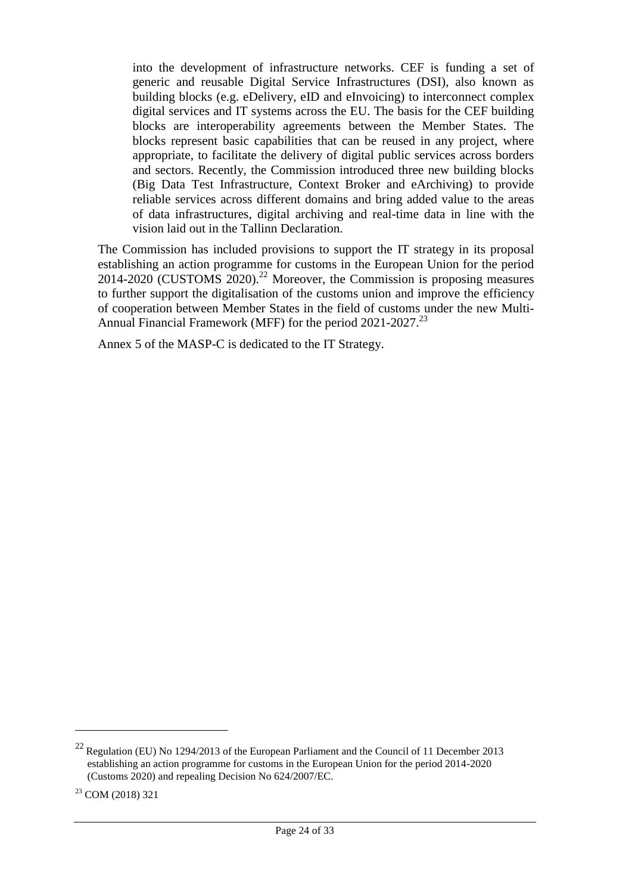into the development of infrastructure networks. CEF is funding a set of generic and reusable Digital Service Infrastructures (DSI), also known as building blocks (e.g. eDelivery, eID and eInvoicing) to interconnect complex digital services and IT systems across the EU. The basis for the CEF building blocks are interoperability agreements between the Member States. The blocks represent basic capabilities that can be reused in any project, where appropriate, to facilitate the delivery of digital public services across borders and sectors. Recently, the Commission introduced three new building blocks (Big Data Test Infrastructure, Context Broker and eArchiving) to provide reliable services across different domains and bring added value to the areas of data infrastructures, digital archiving and real-time data in line with the vision laid out in the Tallinn Declaration.

The Commission has included provisions to support the IT strategy in its proposal establishing an action programme for customs in the European Union for the period 2014-2020 (CUSTOMS 2020). <sup>22</sup> Moreover, the Commission is proposing measures to further support the digitalisation of the customs union and improve the efficiency of cooperation between Member States in the field of customs under the new Multi-Annual Financial Framework (MFF) for the period 2021-2027.<sup>23</sup>

Annex 5 of the MASP-C is dedicated to the IT Strategy.

<sup>&</sup>lt;sup>22</sup> Regulation (EU) No 1294/2013 of the European Parliament and the Council of 11 December 2013 establishing an action programme for customs in the European Union for the period 2014-2020 (Customs 2020) and repealing Decision No 624/2007/EC.

<sup>&</sup>lt;sup>23</sup> COM (2018) 321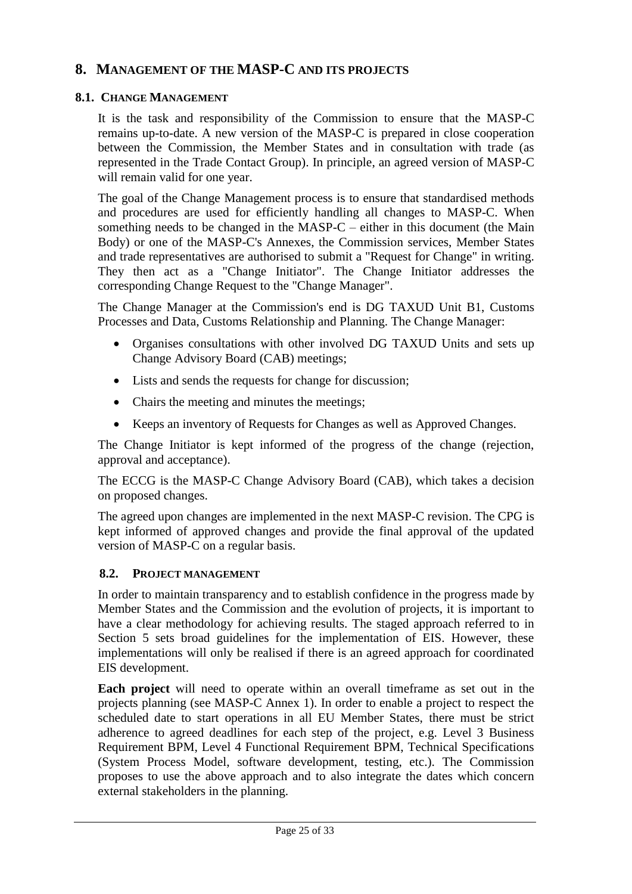# <span id="page-24-0"></span>**8. MANAGEMENT OF THE MASP-C AND ITS PROJECTS**

#### **8.1. CHANGE MANAGEMENT**

It is the task and responsibility of the Commission to ensure that the MASP-C remains up-to-date. A new version of the MASP-C is prepared in close cooperation between the Commission, the Member States and in consultation with trade (as represented in the Trade Contact Group). In principle, an agreed version of MASP-C will remain valid for one year.

The goal of the Change Management process is to ensure that standardised methods and procedures are used for efficiently handling all changes to MASP-C. When something needs to be changed in the MASP-C – either in this document (the Main Body) or one of the MASP-C's Annexes, the Commission services, Member States and trade representatives are authorised to submit a "Request for Change" in writing. They then act as a "Change Initiator". The Change Initiator addresses the corresponding Change Request to the "Change Manager".

The Change Manager at the Commission's end is DG TAXUD Unit B1, Customs Processes and Data, Customs Relationship and Planning. The Change Manager:

- Organises consultations with other involved DG TAXUD Units and sets up Change Advisory Board (CAB) meetings;
- Lists and sends the requests for change for discussion;
- Chairs the meeting and minutes the meetings;
- Keeps an inventory of Requests for Changes as well as Approved Changes.

The Change Initiator is kept informed of the progress of the change (rejection, approval and acceptance).

The ECCG is the MASP-C Change Advisory Board (CAB), which takes a decision on proposed changes.

The agreed upon changes are implemented in the next MASP-C revision. The CPG is kept informed of approved changes and provide the final approval of the updated version of MASP-C on a regular basis.

#### **8.2. PROJECT MANAGEMENT**

In order to maintain transparency and to establish confidence in the progress made by Member States and the Commission and the evolution of projects, it is important to have a clear methodology for achieving results. The staged approach referred to in Section 5 sets broad guidelines for the implementation of EIS. However, these implementations will only be realised if there is an agreed approach for coordinated EIS development.

**Each project** will need to operate within an overall timeframe as set out in the projects planning (see MASP-C Annex 1). In order to enable a project to respect the scheduled date to start operations in all EU Member States, there must be strict adherence to agreed deadlines for each step of the project, e.g. Level 3 Business Requirement BPM, Level 4 Functional Requirement BPM, Technical Specifications (System Process Model, software development, testing, etc.). The Commission proposes to use the above approach and to also integrate the dates which concern external stakeholders in the planning.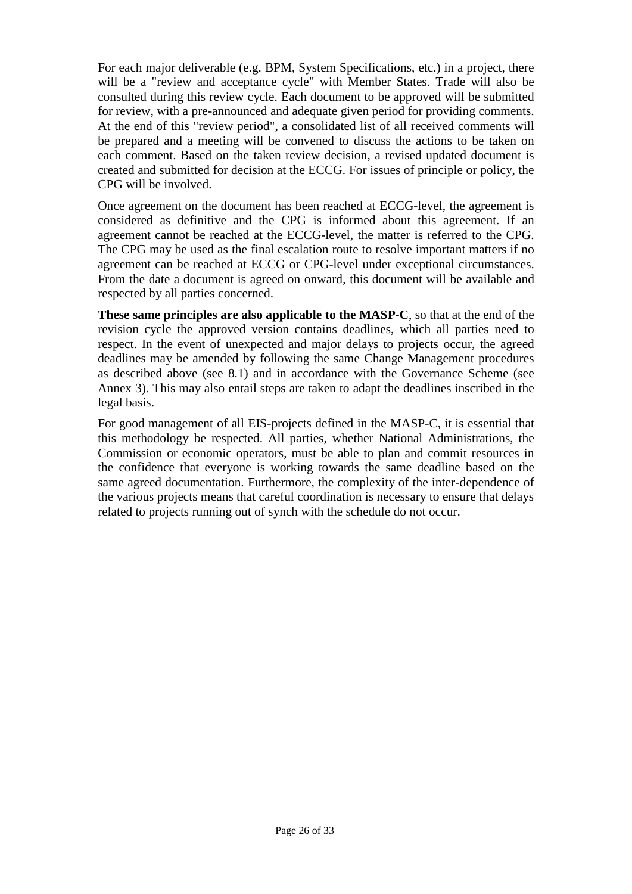For each major deliverable (e.g. BPM, System Specifications, etc.) in a project, there will be a "review and acceptance cycle" with Member States. Trade will also be consulted during this review cycle. Each document to be approved will be submitted for review, with a pre-announced and adequate given period for providing comments. At the end of this "review period", a consolidated list of all received comments will be prepared and a meeting will be convened to discuss the actions to be taken on each comment. Based on the taken review decision, a revised updated document is created and submitted for decision at the ECCG. For issues of principle or policy, the CPG will be involved.

Once agreement on the document has been reached at ECCG-level, the agreement is considered as definitive and the CPG is informed about this agreement. If an agreement cannot be reached at the ECCG-level, the matter is referred to the CPG. The CPG may be used as the final escalation route to resolve important matters if no agreement can be reached at ECCG or CPG-level under exceptional circumstances. From the date a document is agreed on onward, this document will be available and respected by all parties concerned.

**These same principles are also applicable to the MASP-C**, so that at the end of the revision cycle the approved version contains deadlines, which all parties need to respect. In the event of unexpected and major delays to projects occur, the agreed deadlines may be amended by following the same Change Management procedures as described above (see 8.1) and in accordance with the Governance Scheme (see Annex 3). This may also entail steps are taken to adapt the deadlines inscribed in the legal basis.

For good management of all EIS-projects defined in the MASP-C, it is essential that this methodology be respected. All parties, whether National Administrations, the Commission or economic operators, must be able to plan and commit resources in the confidence that everyone is working towards the same deadline based on the same agreed documentation. Furthermore, the complexity of the inter-dependence of the various projects means that careful coordination is necessary to ensure that delays related to projects running out of synch with the schedule do not occur.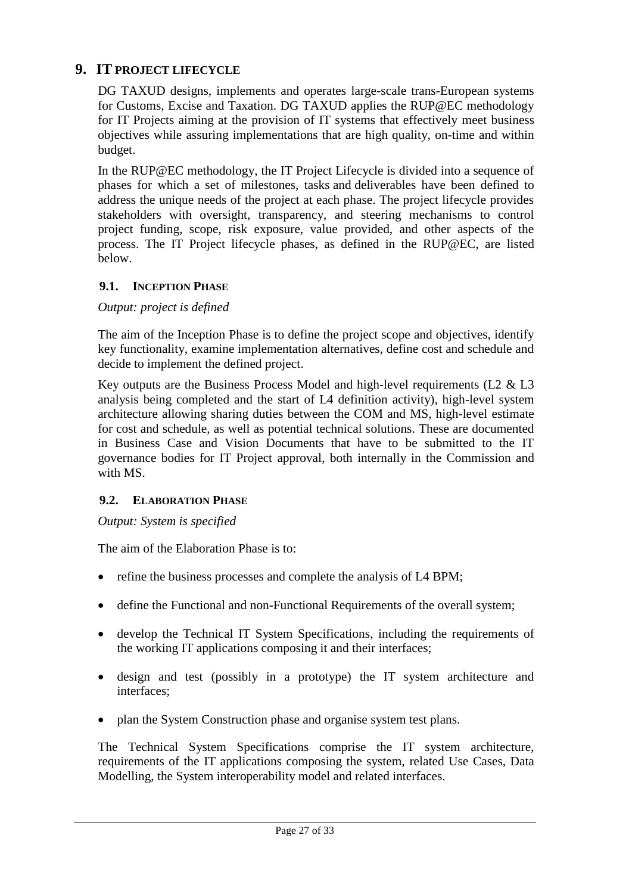# <span id="page-26-0"></span>**9. IT PROJECT LIFECYCLE**

DG TAXUD designs, implements and operates large-scale trans-European systems for Customs, Excise and Taxation. DG TAXUD applies the RUP@EC methodology for IT Projects aiming at the provision of IT systems that effectively meet business objectives while assuring implementations that are high quality, on-time and within budget.

In the RUP@EC methodology, the IT Project Lifecycle is divided into a sequence of phases for which a set of milestones, [tasks](http://www.cc.cec/RUPatEC_Standard/core.default.uma_concept.base/guidances/termdefinitions/task_6C1FF051.html) and deliverables have been defined to address the unique needs of the project at each phase. The project lifecycle provides stakeholders with oversight, transparency, and steering mechanisms to control project funding, scope, risk exposure, value provided, and other aspects of the process. The IT Project lifecycle phases, as defined in the RUP@EC, are listed below.

# **9.1. INCEPTION PHASE**

*Output: project is defined*

The aim of the Inception Phase is to define the project scope and objectives, identify key functionality, examine implementation alternatives, define cost and schedule and decide to implement the defined project.

Key outputs are the Business Process Model and high-level requirements (L2 & L3 analysis being completed and the start of L4 definition activity), high-level system architecture allowing sharing duties between the COM and MS, high-level estimate for cost and schedule, as well as potential technical solutions. These are documented in Business Case and Vision Documents that have to be submitted to the IT governance bodies for IT Project approval, both internally in the Commission and with MS.

#### **9.2. E[LABORATION](http://www.cc.cec/RUPatEC_Standard/practice.mgmt.risk_value_lifecycle.base/guidances/concepts/elaboration_phase_BE880435.html) PHASE**

*Output: System is specified*

The aim of the Elaboration Phase is to:

- refine the business processes and complete the analysis of L4 BPM;
- define the Functional and non-Functional Requirements of the overall system;
- develop the Technical IT System Specifications, including the requirements of the working IT applications composing it and their interfaces;
- design and test (possibly in a prototype) the IT system architecture and interfaces;
- plan the System Construction phase and organise system test plans.

The Technical System Specifications comprise the IT system architecture, requirements of the IT applications composing the system, related Use Cases, Data Modelling, the System interoperability model and related interfaces.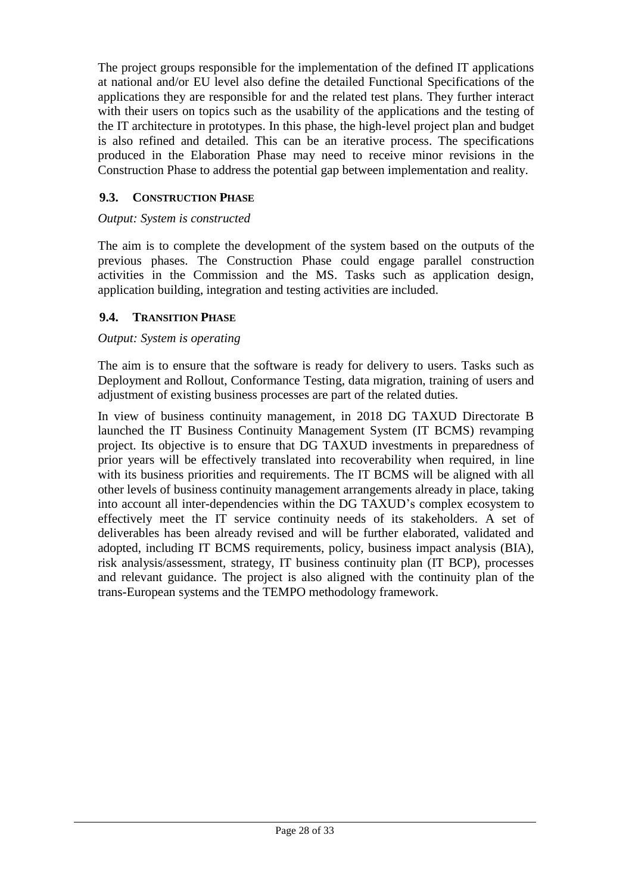The project groups responsible for the implementation of the defined IT applications at national and/or EU level also define the detailed Functional Specifications of the applications they are responsible for and the related test plans. They further interact with their users on topics such as the usability of the applications and the testing of the IT architecture in prototypes. In this phase, the high-level project plan and budget is also refined and detailed. This can be an iterative process. The specifications produced in the Elaboration Phase may need to receive minor revisions in the Construction Phase to address the potential gap between implementation and reality.

# **9.3. C[ONSTRUCTION](http://www.cc.cec/RUPatEC_Standard/practice.mgmt.risk_value_lifecycle.base/guidances/concepts/construction_phase_873B6559.html) PHASE**

#### *Output: System is constructed*

The aim is to complete the development of the system based on the outputs of the previous phases. The Construction Phase could engage parallel construction activities in the Commission and the MS. Tasks such as application design, application building, integration and testing activities are included.

#### **9.4. T[RANSITION](http://www.cc.cec/RUPatEC_Standard/practice.mgmt.risk_value_lifecycle.base/guidances/concepts/transition_phase_DD5986E5.html) PHASE**

#### *Output: System is operating*

The aim is to ensure that the software is ready for delivery to users. Tasks such as Deployment and Rollout, Conformance Testing, data migration, training of users and adjustment of existing business processes are part of the related duties.

In view of business continuity management, in 2018 DG TAXUD Directorate B launched the IT Business Continuity Management System (IT BCMS) revamping project. Its objective is to ensure that DG TAXUD investments in preparedness of prior years will be effectively translated into recoverability when required, in line with its business priorities and requirements. The IT BCMS will be aligned with all other levels of business continuity management arrangements already in place, taking into account all inter-dependencies within the DG TAXUD's complex ecosystem to effectively meet the IT service continuity needs of its stakeholders. A set of deliverables has been already revised and will be further elaborated, validated and adopted, including IT BCMS requirements, policy, business impact analysis (BIA), risk analysis/assessment, strategy, IT business continuity plan (IT BCP), processes and relevant guidance. The project is also aligned with the continuity plan of the trans-European systems and the TEMPO methodology framework.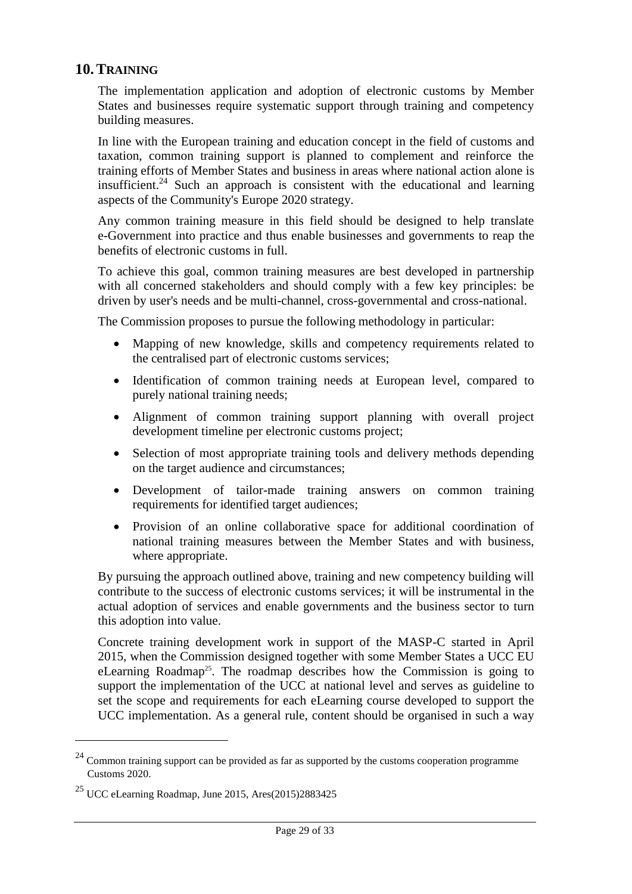# <span id="page-28-0"></span>**10.TRAINING**

The implementation application and adoption of electronic customs by Member States and businesses require systematic support through training and competency building measures.

In line with the European training and education concept in the field of customs and taxation, common training support is planned to complement and reinforce the training efforts of Member States and business in areas where national action alone is insufficient.<sup>24</sup> Such an approach is consistent with the educational and learning aspects of the Community's Europe 2020 strategy.

Any common training measure in this field should be designed to help translate e-Government into practice and thus enable businesses and governments to reap the benefits of electronic customs in full.

To achieve this goal, common training measures are best developed in partnership with all concerned stakeholders and should comply with a few key principles: be driven by user's needs and be multi-channel, cross-governmental and cross-national.

The Commission proposes to pursue the following methodology in particular:

- Mapping of new knowledge, skills and competency requirements related to the centralised part of electronic customs services;
- Identification of common training needs at European level, compared to purely national training needs;
- Alignment of common training support planning with overall project development timeline per electronic customs project;
- Selection of most appropriate training tools and delivery methods depending on the target audience and circumstances;
- Development of tailor-made training answers on common training requirements for identified target audiences;
- Provision of an online collaborative space for additional coordination of national training measures between the Member States and with business, where appropriate.

By pursuing the approach outlined above, training and new competency building will contribute to the success of electronic customs services; it will be instrumental in the actual adoption of services and enable governments and the business sector to turn this adoption into value.

Concrete training development work in support of the MASP-C started in April 2015, when the Commission designed together with some Member States a UCC EU eLearning Roadmap<sup>25</sup>. The roadmap describes how the Commission is going to support the implementation of the UCC at national level and serves as guideline to set the scope and requirements for each eLearning course developed to support the UCC implementation. As a general rule, content should be organised in such a way

 $24$  Common training support can be provided as far as supported by the customs cooperation programme Customs 2020.

 $25$  UCC eLearning Roadmap, June 2015, Ares(2015)2883425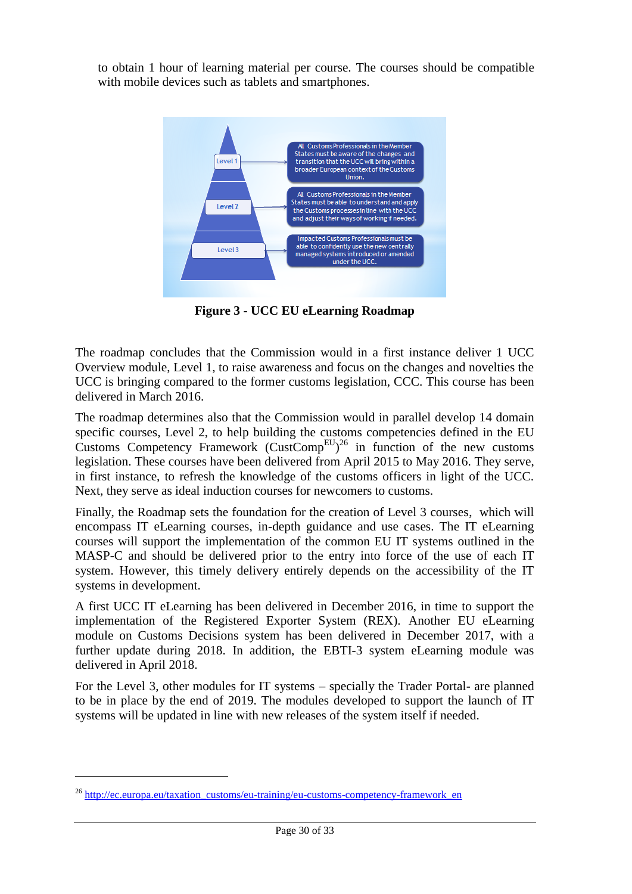to obtain 1 hour of learning material per course. The courses should be compatible with mobile devices such as tablets and smartphones.



**Figure 3 - UCC EU eLearning Roadmap** 

<span id="page-29-0"></span>The roadmap concludes that the Commission would in a first instance deliver 1 UCC Overview module, Level 1, to raise awareness and focus on the changes and novelties the UCC is bringing compared to the former customs legislation, CCC. This course has been delivered in March 2016.

The roadmap determines also that the Commission would in parallel develop 14 domain specific courses, Level 2, to help building the customs competencies defined in the EU Customs Competency Framework (CustComp<sup>EU</sup>)<sup>26</sup> in function of the new customs legislation. These courses have been delivered from April 2015 to May 2016. They serve, in first instance, to refresh the knowledge of the customs officers in light of the UCC. Next, they serve as ideal induction courses for newcomers to customs.

Finally, the Roadmap sets the foundation for the creation of Level 3 courses, which will encompass IT eLearning courses, in-depth guidance and use cases. The IT eLearning courses will support the implementation of the common EU IT systems outlined in the MASP-C and should be delivered prior to the entry into force of the use of each IT system. However, this timely delivery entirely depends on the accessibility of the IT systems in development.

A first UCC IT eLearning has been delivered in December 2016, in time to support the implementation of the Registered Exporter System (REX). Another EU eLearning module on Customs Decisions system has been delivered in December 2017, with a further update during 2018. In addition, the EBTI-3 system eLearning module was delivered in April 2018.

For the Level 3, other modules for IT systems – specially the Trader Portal- are planned to be in place by the end of 2019. The modules developed to support the launch of IT systems will be updated in line with new releases of the system itself if needed.

<sup>&</sup>lt;sup>26</sup> [http://ec.europa.eu/taxation\\_customs/eu-training/eu-customs-competency-framework\\_en](http://ec.europa.eu/taxation_customs/eu-training/eu-customs-competency-framework_en)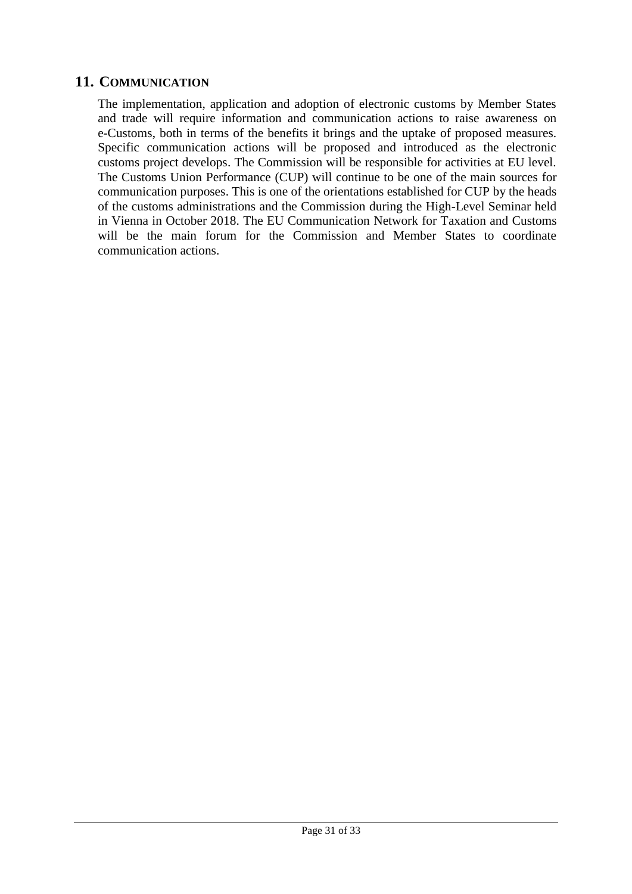# <span id="page-30-0"></span>**11. COMMUNICATION**

The implementation, application and adoption of electronic customs by Member States and trade will require information and communication actions to raise awareness on e-Customs, both in terms of the benefits it brings and the uptake of proposed measures. Specific communication actions will be proposed and introduced as the electronic customs project develops. The Commission will be responsible for activities at EU level. The Customs Union Performance (CUP) will continue to be one of the main sources for communication purposes. This is one of the orientations established for CUP by the heads of the customs administrations and the Commission during the High-Level Seminar held in Vienna in October 2018. The EU Communication Network for Taxation and Customs will be the main forum for the Commission and Member States to coordinate communication actions.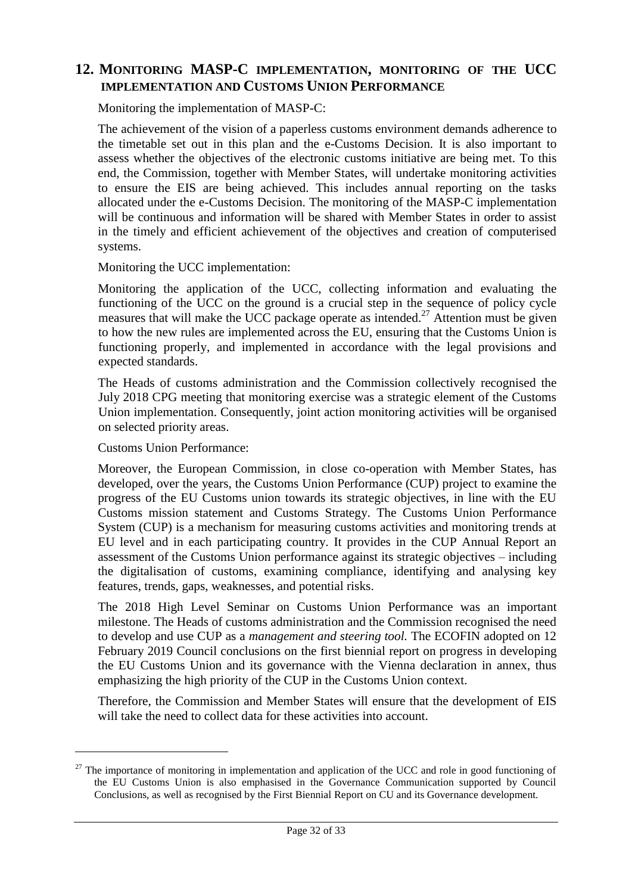# <span id="page-31-0"></span>**12. MONITORING MASP-C IMPLEMENTATION, MONITORING OF THE UCC IMPLEMENTATION AND CUSTOMS UNION PERFORMANCE**

Monitoring the implementation of MASP-C:

The achievement of the vision of a paperless customs environment demands adherence to the timetable set out in this plan and the e-Customs Decision. It is also important to assess whether the objectives of the electronic customs initiative are being met. To this end, the Commission, together with Member States, will undertake monitoring activities to ensure the EIS are being achieved. This includes annual reporting on the tasks allocated under the e-Customs Decision. The monitoring of the MASP-C implementation will be continuous and information will be shared with Member States in order to assist in the timely and efficient achievement of the objectives and creation of computerised systems.

Monitoring the UCC implementation:

Monitoring the application of the UCC, collecting information and evaluating the functioning of the UCC on the ground is a crucial step in the sequence of policy cycle measures that will make the UCC package operate as intended.<sup>27</sup> Attention must be given to how the new rules are implemented across the EU, ensuring that the Customs Union is functioning properly, and implemented in accordance with the legal provisions and expected standards.

The Heads of customs administration and the Commission collectively recognised the July 2018 CPG meeting that monitoring exercise was a strategic element of the Customs Union implementation. Consequently, joint action monitoring activities will be organised on selected priority areas.

Customs Union Performance:

 $\overline{a}$ 

Moreover, the European Commission, in close co-operation with Member States, has developed, over the years, the Customs Union Performance (CUP) project to examine the progress of the EU Customs union towards its strategic objectives, in line with the EU Customs mission statement and Customs Strategy. The Customs Union Performance System (CUP) is a mechanism for measuring customs activities and monitoring trends at EU level and in each participating country. It provides in the CUP Annual Report an assessment of the Customs Union performance against its strategic objectives – including the digitalisation of customs, examining compliance, identifying and analysing key features, trends, gaps, weaknesses, and potential risks.

The 2018 High Level Seminar on Customs Union Performance was an important milestone. The Heads of customs administration and the Commission recognised the need to develop and use CUP as a *management and steering tool.* The ECOFIN adopted on 12 February 2019 Council conclusions on the first biennial report on progress in developing the EU Customs Union and its governance with the Vienna declaration in annex, thus emphasizing the high priority of the CUP in the Customs Union context.

Therefore, the Commission and Member States will ensure that the development of EIS will take the need to collect data for these activities into account.

 $27$  The importance of monitoring in implementation and application of the UCC and role in good functioning of the EU Customs Union is also emphasised in the Governance Communication supported by Council Conclusions, as well as recognised by the First Biennial Report on CU and its Governance development.